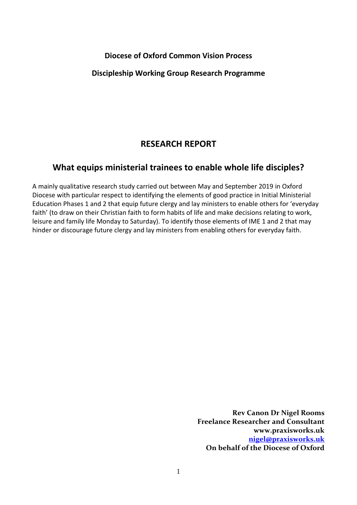#### **Diocese of Oxford Common Vision Process**

### **Discipleship Working Group Research Programme**

# **RESEARCH REPORT**

# **What equips ministerial trainees to enable whole life disciples?**

A mainly qualitative research study carried out between May and September 2019 in Oxford Diocese with particular respect to identifying the elements of good practice in Initial Ministerial Education Phases 1 and 2 that equip future clergy and lay ministers to enable others for 'everyday faith' (to draw on their Christian faith to form habits of life and make decisions relating to work, leisure and family life Monday to Saturday). To identify those elements of IME 1 and 2 that may hinder or discourage future clergy and lay ministers from enabling others for everyday faith.

> **Rev Canon Dr Nigel Rooms Freelance Researcher and Consultant www.praxisworks.uk [nigel@praxisworks.uk](mailto:nigel@praxisworks.uk)  On behalf of the Diocese of Oxford**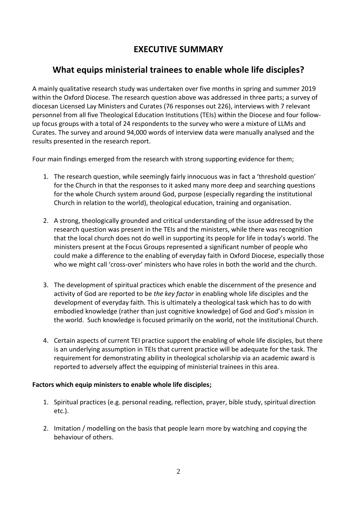# **EXECUTIVE SUMMARY**

# **What equips ministerial trainees to enable whole life disciples?**

A mainly qualitative research study was undertaken over five months in spring and summer 2019 within the Oxford Diocese. The research question above was addressed in three parts; a survey of diocesan Licensed Lay Ministers and Curates (76 responses out 226), interviews with 7 relevant personnel from all five Theological Education Institutions (TEIs) within the Diocese and four followup focus groups with a total of 24 respondents to the survey who were a mixture of LLMs and Curates. The survey and around 94,000 words of interview data were manually analysed and the results presented in the research report.

Four main findings emerged from the research with strong supporting evidence for them;

- 1. The research question, while seemingly fairly innocuous was in fact a 'threshold question' for the Church in that the responses to it asked many more deep and searching questions for the whole Church system around God, purpose (especially regarding the institutional Church in relation to the world), theological education, training and organisation.
- 2. A strong, theologically grounded and critical understanding of the issue addressed by the research question was present in the TEIs and the ministers, while there was recognition that the local church does not do well in supporting its people for life in today's world. The ministers present at the Focus Groups represented a significant number of people who could make a difference to the enabling of everyday faith in Oxford Diocese, especially those who we might call 'cross-over' ministers who have roles in both the world and the church.
- 3. The development of spiritual practices which enable the discernment of the presence and activity of God are reported to be *the key factor* in enabling whole life disciples and the development of everyday faith. This is ultimately a theological task which has to do with embodied knowledge (rather than just cognitive knowledge) of God and God's mission in the world. Such knowledge is focused primarily on the world, not the institutional Church.
- 4. Certain aspects of current TEI practice support the enabling of whole life disciples, but there is an underlying assumption in TEIs that current practice will be adequate for the task. The requirement for demonstrating ability in theological scholarship via an academic award is reported to adversely affect the equipping of ministerial trainees in this area.

#### **Factors which equip ministers to enable whole life disciples;**

- 1. Spiritual practices (e.g. personal reading, reflection, prayer, bible study, spiritual direction etc.).
- 2. Imitation / modelling on the basis that people learn more by watching and copying the behaviour of others.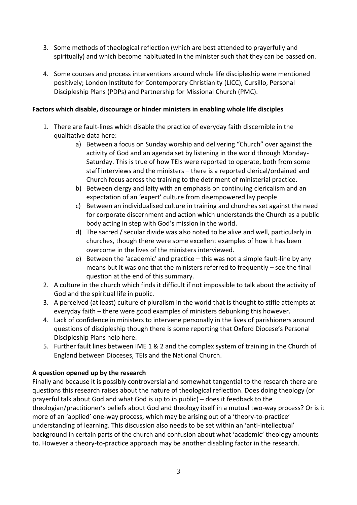- 3. Some methods of theological reflection (which are best attended to prayerfully and spiritually) and which become habituated in the minister such that they can be passed on.
- 4. Some courses and process interventions around whole life discipleship were mentioned positively; London Institute for Contemporary Christianity (LICC), Cursillo, Personal Discipleship Plans (PDPs) and Partnership for Missional Church (PMC).

#### **Factors which disable, discourage or hinder ministers in enabling whole life disciples**

- 1. There are fault-lines which disable the practice of everyday faith discernible in the qualitative data here:
	- a) Between a focus on Sunday worship and delivering "Church" over against the activity of God and an agenda set by listening in the world through Monday-Saturday. This is true of how TEIs were reported to operate, both from some staff interviews and the ministers – there is a reported clerical/ordained and Church focus across the training to the detriment of ministerial practice.
	- b) Between clergy and laity with an emphasis on continuing clericalism and an expectation of an 'expert' culture from disempowered lay people
	- c) Between an individualised culture in training and churches set against the need for corporate discernment and action which understands the Church as a public body acting in step with God's mission in the world.
	- d) The sacred / secular divide was also noted to be alive and well, particularly in churches, though there were some excellent examples of how it has been overcome in the lives of the ministers interviewed.
	- e) Between the 'academic' and practice this was not a simple fault-line by any means but it was one that the ministers referred to frequently – see the final question at the end of this summary.
- 2. A culture in the church which finds it difficult if not impossible to talk about the activity of God and the spiritual life in public.
- 3. A perceived (at least) culture of pluralism in the world that is thought to stifle attempts at everyday faith – there were good examples of ministers debunking this however.
- 4. Lack of confidence in ministers to intervene personally in the lives of parishioners around questions of discipleship though there is some reporting that Oxford Diocese's Personal Discipleship Plans help here.
- 5. Further fault lines between IME 1 & 2 and the complex system of training in the Church of England between Dioceses, TEIs and the National Church.

#### **A question opened up by the research**

Finally and because it is possibly controversial and somewhat tangential to the research there are questions this research raises about the nature of theological reflection. Does doing theology (or prayerful talk about God and what God is up to in public) – does it feedback to the theologian/practitioner's beliefs about God and theology itself in a mutual two-way process? Or is it more of an 'applied' one-way process, which may be arising out of a 'theory-to-practice' understanding of learning. This discussion also needs to be set within an 'anti-intellectual' background in certain parts of the church and confusion about what 'academic' theology amounts to. However a theory-to-practice approach may be another disabling factor in the research.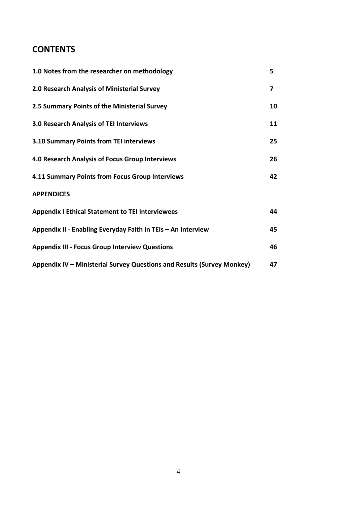# **CONTENTS**

| 1.0 Notes from the researcher on methodology                           | 5  |
|------------------------------------------------------------------------|----|
| 2.0 Research Analysis of Ministerial Survey                            | 7  |
| 2.5 Summary Points of the Ministerial Survey                           | 10 |
| <b>3.0 Research Analysis of TEI Interviews</b>                         | 11 |
| 3.10 Summary Points from TEI interviews                                | 25 |
| <b>4.0 Research Analysis of Focus Group Interviews</b>                 | 26 |
| 4.11 Summary Points from Focus Group Interviews                        | 42 |
| <b>APPENDICES</b>                                                      |    |
| <b>Appendix I Ethical Statement to TEI Interviewees</b>                | 44 |
| Appendix II - Enabling Everyday Faith in TEIs - An Interview           | 45 |
| <b>Appendix III - Focus Group Interview Questions</b>                  | 46 |
| Appendix IV - Ministerial Survey Questions and Results (Survey Monkey) | 47 |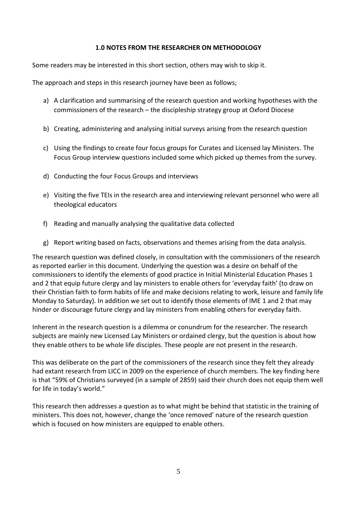#### **1.0 NOTES FROM THE RESEARCHER ON METHODOLOGY**

Some readers may be interested in this short section, others may wish to skip it.

The approach and steps in this research journey have been as follows;

- a) A clarification and summarising of the research question and working hypotheses with the commissioners of the research – the discipleship strategy group at Oxford Diocese
- b) Creating, administering and analysing initial surveys arising from the research question
- c) Using the findings to create four focus groups for Curates and Licensed lay Ministers. The Focus Group interview questions included some which picked up themes from the survey.
- d) Conducting the four Focus Groups and interviews
- e) Visiting the five TEIs in the research area and interviewing relevant personnel who were all theological educators
- f) Reading and manually analysing the qualitative data collected
- g) Report writing based on facts, observations and themes arising from the data analysis.

The research question was defined closely, in consultation with the commissioners of the research as reported earlier in this document. Underlying the question was a desire on behalf of the commissioners to identify the elements of good practice in Initial Ministerial Education Phases 1 and 2 that equip future clergy and lay ministers to enable others for 'everyday faith' (to draw on their Christian faith to form habits of life and make decisions relating to work, leisure and family life Monday to Saturday). In addition we set out to identify those elements of IME 1 and 2 that may hinder or discourage future clergy and lay ministers from enabling others for everyday faith.

Inherent in the research question is a dilemma or conundrum for the researcher. The research subjects are mainly new Licensed Lay Ministers or ordained clergy, but the question is about how they enable others to be whole life disciples. These people are not present in the research.

This was deliberate on the part of the commissioners of the research since they felt they already had extant research from LICC in 2009 on the experience of church members. The key finding here is that "59% of Christians surveyed (in a sample of 2859) said their church does not equip them well for life in today's world."

This research then addresses a question as to what might be behind that statistic in the training of ministers. This does not, however, change the 'once removed' nature of the research question which is focused on how ministers are equipped to enable others.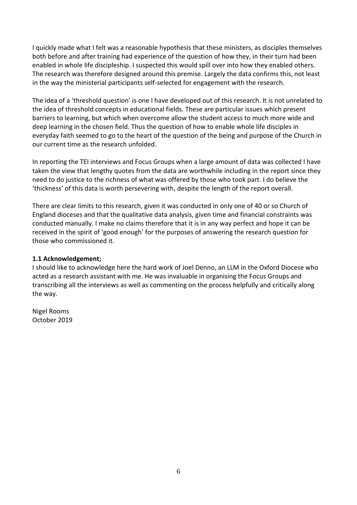I quickly made what I felt was a reasonable hypothesis that these ministers, as disciples themselves both before and after training had experience of the question of how they, in their turn had been enabled in whole life discipleship. I suspected this would spill over into how they enabled others. The research was therefore designed around this premise. Largely the data confirms this, not least in the way the ministerial participants self-selected for engagement with the research.

The idea of a 'threshold question' is one I have developed out of this research. It is not unrelated to the idea of threshold concepts in educational fields. These are particular issues which present barriers to learning, but which when overcome allow the student access to much more wide and deep learning in the chosen field. Thus the question of how to enable whole life disciples in everyday faith seemed to go to the heart of the question of the being and purpose of the Church in our current time as the research unfolded.

In reporting the TEI interviews and Focus Groups when a large amount of data was collected I have taken the view that lengthy quotes from the data are worthwhile including in the report since they need to do justice to the richness of what was offered by those who took part. I do believe the 'thickness' of this data is worth persevering with, despite the length of the report overall.

There are clear limits to this research, given it was conducted in only one of 40 or so Church of England dioceses and that the qualitative data analysis, given time and financial constraints was conducted manually. I make no claims therefore that it is in any way perfect and hope it can be received in the spirit of 'good enough' for the purposes of answering the research question for those who commissioned it.

#### **1.1 Acknowledgement;**

I should like to acknowledge here the hard work of Joel Denno, an LLM in the Oxford Diocese who acted as a research assistant with me. He was invaluable in organising the Focus Groups and transcribing all the interviews as well as commenting on the process helpfully and critically along the way.

Nigel Rooms October 2019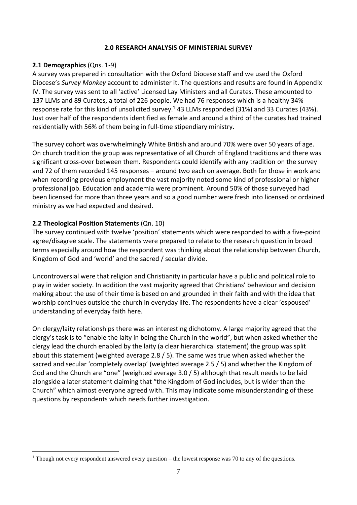#### **2.0 RESEARCH ANALYSIS OF MINISTERIAL SURVEY**

#### **2.1 Demographics** (Qns. 1-9)

A survey was prepared in consultation with the Oxford Diocese staff and we used the Oxford Diocese's *Survey Monkey* account to administer it. The questions and results are found in Appendix IV. The survey was sent to all 'active' Licensed Lay Ministers and all Curates. These amounted to 137 LLMs and 89 Curates, a total of 226 people. We had 76 responses which is a healthy 34% response rate for this kind of unsolicited survey.<sup>1</sup> 43 LLMs responded (31%) and 33 Curates (43%). Just over half of the respondents identified as female and around a third of the curates had trained residentially with 56% of them being in full-time stipendiary ministry.

The survey cohort was overwhelmingly White British and around 70% were over 50 years of age. On church tradition the group was representative of all Church of England traditions and there was significant cross-over between them. Respondents could identify with any tradition on the survey and 72 of them recorded 145 responses – around two each on average. Both for those in work and when recording previous employment the vast majority noted some kind of professional or higher professional job. Education and academia were prominent. Around 50% of those surveyed had been licensed for more than three years and so a good number were fresh into licensed or ordained ministry as we had expected and desired.

#### **2.2 Theological Position Statements** (Qn. 10)

The survey continued with twelve 'position' statements which were responded to with a five-point agree/disagree scale. The statements were prepared to relate to the research question in broad terms especially around how the respondent was thinking about the relationship between Church, Kingdom of God and 'world' and the sacred / secular divide.

Uncontroversial were that religion and Christianity in particular have a public and political role to play in wider society. In addition the vast majority agreed that Christians' behaviour and decision making about the use of their time is based on and grounded in their faith and with the idea that worship continues outside the church in everyday life. The respondents have a clear 'espoused' understanding of everyday faith here.

On clergy/laity relationships there was an interesting dichotomy. A large majority agreed that the clergy's task is to "enable the laity in being the Church in the world", but when asked whether the clergy lead the church enabled by the laity (a clear hierarchical statement) the group was split about this statement (weighted average 2.8 / 5). The same was true when asked whether the sacred and secular 'completely overlap' (weighted average 2.5 / 5) and whether the Kingdom of God and the Church are "one" (weighted average 3.0 / 5) although that result needs to be laid alongside a later statement claiming that "the Kingdom of God includes, but is wider than the Church" which almost everyone agreed with. This may indicate some misunderstanding of these questions by respondents which needs further investigation.

<sup>&</sup>lt;sup>1</sup> Though not every respondent answered every question – the lowest response was 70 to any of the questions.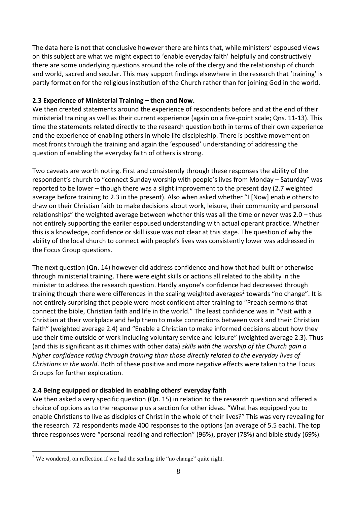The data here is not that conclusive however there are hints that, while ministers' espoused views on this subject are what we might expect to 'enable everyday faith' helpfully and constructively there are some underlying questions around the role of the clergy and the relationship of church and world, sacred and secular. This may support findings elsewhere in the research that 'training' is partly formation for the religious institution of the Church rather than for joining God in the world.

# **2.3 Experience of Ministerial Training – then and Now.**

We then created statements around the experience of respondents before and at the end of their ministerial training as well as their current experience (again on a five-point scale; Qns. 11-13). This time the statements related directly to the research question both in terms of their own experience and the experience of enabling others in whole life discipleship. There is positive movement on most fronts through the training and again the 'espoused' understanding of addressing the question of enabling the everyday faith of others is strong.

Two caveats are worth noting. First and consistently through these responses the ability of the respondent's church to "connect Sunday worship with people's lives from Monday – Saturday" was reported to be lower – though there was a slight improvement to the present day (2.7 weighted average before training to 2.3 in the present). Also when asked whether "I [Now] enable others to draw on their Christian faith to make decisions about work, leisure, their community and personal relationships" the weighted average between whether this was all the time or never was 2.0 – thus not entirely supporting the earlier espoused understanding with actual operant practice. Whether this is a knowledge, confidence or skill issue was not clear at this stage. The question of why the ability of the local church to connect with people's lives was consistently lower was addressed in the Focus Group questions.

The next question (Qn. 14) however did address confidence and how that had built or otherwise through ministerial training. There were eight skills or actions all related to the ability in the minister to address the research question. Hardly anyone's confidence had decreased through training though there were differences in the scaling weighted averages<sup>2</sup> towards "no change". It is not entirely surprising that people were most confident after training to "Preach sermons that connect the bible, Christian faith and life in the world." The least confidence was in "Visit with a Christian at their workplace and help them to make connections between work and their Christian faith" (weighted average 2.4) and "Enable a Christian to make informed decisions about how they use their time outside of work including voluntary service and leisure" (weighted average 2.3). Thus (and this is significant as it chimes with other data) *skills with the worship of the Church gain a higher confidence rating through training than those directly related to the everyday lives of Christians in the world*. Both of these positive and more negative effects were taken to the Focus Groups for further exploration.

# **2.4 Being equipped or disabled in enabling others' everyday faith**

We then asked a very specific question (Qn. 15) in relation to the research question and offered a choice of options as to the response plus a section for other ideas. "What has equipped you to enable Christians to live as disciples of Christ in the whole of their lives?" This was very revealing for the research. 72 respondents made 400 responses to the options (an average of 5.5 each). The top three responses were "personal reading and reflection" (96%), prayer (78%) and bible study (69%).

<sup>&</sup>lt;sup>2</sup> We wondered, on reflection if we had the scaling title "no change" quite right.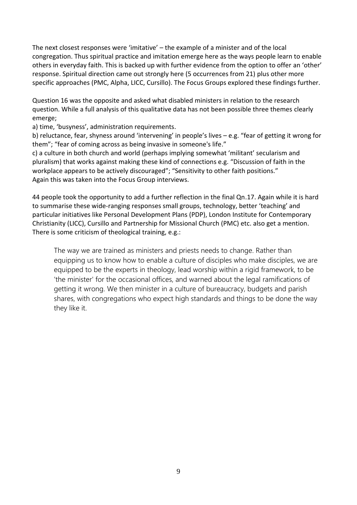The next closest responses were 'imitative' – the example of a minister and of the local congregation. Thus spiritual practice and imitation emerge here as the ways people learn to enable others in everyday faith. This is backed up with further evidence from the option to offer an 'other' response. Spiritual direction came out strongly here (5 occurrences from 21) plus other more specific approaches (PMC, Alpha, LICC, Cursillo). The Focus Groups explored these findings further.

Question 16 was the opposite and asked what disabled ministers in relation to the research question. While a full analysis of this qualitative data has not been possible three themes clearly emerge;

a) time, 'busyness', administration requirements.

b) reluctance, fear, shyness around 'intervening' in people's lives – e.g. "fear of getting it wrong for them"; "fear of coming across as being invasive in someone's life."

c) a culture in both church and world (perhaps implying somewhat 'militant' secularism and pluralism) that works against making these kind of connections e.g. "Discussion of faith in the workplace appears to be actively discouraged"; "Sensitivity to other faith positions." Again this was taken into the Focus Group interviews.

44 people took the opportunity to add a further reflection in the final Qn.17. Again while it is hard to summarise these wide-ranging responses small groups, technology, better 'teaching' and particular initiatives like Personal Development Plans (PDP), London Institute for Contemporary Christianity (LICC), Cursillo and Partnership for Missional Church (PMC) etc. also get a mention. There is some criticism of theological training, e.g.:

The way we are trained as ministers and priests needs to change. Rather than equipping us to know how to enable a culture of disciples who make disciples, we are equipped to be the experts in theology, lead worship within a rigid framework, to be 'the minister' for the occasional offices, and warned about the legal ramifications of getting it wrong. We then minister in a culture of bureaucracy, budgets and parish shares, with congregations who expect high standards and things to be done the way they like it.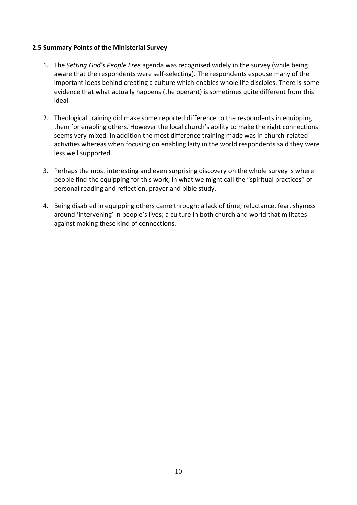#### **2.5 Summary Points of the Ministerial Survey**

- 1. The *Setting God's People Free* agenda was recognised widely in the survey (while being aware that the respondents were self-selecting). The respondents espouse many of the important ideas behind creating a culture which enables whole life disciples. There is some evidence that what actually happens (the operant) is sometimes quite different from this ideal.
- 2. Theological training did make some reported difference to the respondents in equipping them for enabling others. However the local church's ability to make the right connections seems very mixed. In addition the most difference training made was in church-related activities whereas when focusing on enabling laity in the world respondents said they were less well supported.
- 3. Perhaps the most interesting and even surprising discovery on the whole survey is where people find the equipping for this work; in what we might call the "spiritual practices" of personal reading and reflection, prayer and bible study.
- 4. Being disabled in equipping others came through; a lack of time; reluctance, fear, shyness around 'intervening' in people's lives; a culture in both church and world that militates against making these kind of connections.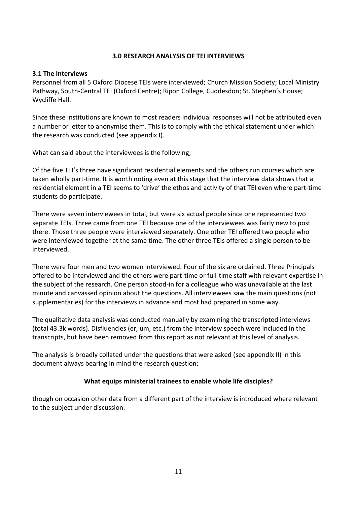#### **3.0 RESEARCH ANALYSIS OF TEI INTERVIEWS**

#### **3.1 The Interviews**

Personnel from all 5 Oxford Diocese TEIs were interviewed; Church Mission Society; Local Ministry Pathway, South-Central TEI (Oxford Centre); Ripon College, Cuddesdon; St. Stephen's House; Wycliffe Hall.

Since these institutions are known to most readers individual responses will not be attributed even a number or letter to anonymise them. This is to comply with the ethical statement under which the research was conducted (see appendix I).

What can said about the interviewees is the following;

Of the five TEI's three have significant residential elements and the others run courses which are taken wholly part-time. It is worth noting even at this stage that the interview data shows that a residential element in a TEI seems to 'drive' the ethos and activity of that TEI even where part-time students do participate.

There were seven interviewees in total, but were six actual people since one represented two separate TEIs. Three came from one TEI because one of the interviewees was fairly new to post there. Those three people were interviewed separately. One other TEI offered two people who were interviewed together at the same time. The other three TEIs offered a single person to be interviewed.

There were four men and two women interviewed. Four of the six are ordained. Three Principals offered to be interviewed and the others were part-time or full-time staff with relevant expertise in the subject of the research. One person stood-in for a colleague who was unavailable at the last minute and canvassed opinion about the questions. All interviewees saw the main questions (not supplementaries) for the interviews in advance and most had prepared in some way.

The qualitative data analysis was conducted manually by examining the transcripted interviews (total 43.3k words). Disfluencies (er, um, etc.) from the interview speech were included in the transcripts, but have been removed from this report as not relevant at this level of analysis.

The analysis is broadly collated under the questions that were asked (see appendix II) in this document always bearing in mind the research question;

#### **What equips ministerial trainees to enable whole life disciples?**

though on occasion other data from a different part of the interview is introduced where relevant to the subject under discussion.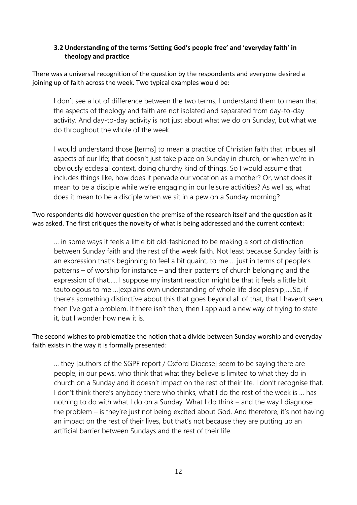# **3.2 Understanding of the terms 'Setting God's people free' and 'everyday faith' in theology and practice**

There was a universal recognition of the question by the respondents and everyone desired a joining up of faith across the week. Two typical examples would be:

I don't see a lot of difference between the two terms; I understand them to mean that the aspects of theology and faith are not isolated and separated from day-to-day activity. And day-to-day activity is not just about what we do on Sunday, but what we do throughout the whole of the week.

I would understand those [terms] to mean a practice of Christian faith that imbues all aspects of our life; that doesn't just take place on Sunday in church, or when we're in obviously ecclesial context, doing churchy kind of things. So I would assume that includes things like, how does it pervade our vocation as a mother? Or, what does it mean to be a disciple while we're engaging in our leisure activities? As well as, what does it mean to be a disciple when we sit in a pew on a Sunday morning?

Two respondents did however question the premise of the research itself and the question as it was asked. The first critiques the novelty of what is being addressed and the current context:

… in some ways it feels a little bit old-fashioned to be making a sort of distinction between Sunday faith and the rest of the week faith. Not least because Sunday faith is an expression that's beginning to feel a bit quaint, to me … just in terms of people's patterns – of worship for instance – and their patterns of church belonging and the expression of that….. I suppose my instant reaction might be that it feels a little bit tautologous to me …[explains own understanding of whole life discipleship]….So, if there's something distinctive about this that goes beyond all of that, that I haven't seen, then I've got a problem. If there isn't then, then I applaud a new way of trying to state it, but I wonder how new it is.

# The second wishes to problematize the notion that a divide between Sunday worship and everyday faith exists in the way it is formally presented:

… they [authors of the SGPF report / Oxford Diocese] seem to be saying there are people, in our pews, who think that what they believe is limited to what they do in church on a Sunday and it doesn't impact on the rest of their life. I don't recognise that. I don't think there's anybody there who thinks, what I do the rest of the week is ... has nothing to do with what I do on a Sunday. What I do think – and the way I diagnose the problem – is they're just not being excited about God. And therefore, it's not having an impact on the rest of their lives, but that's not because they are putting up an artificial barrier between Sundays and the rest of their life.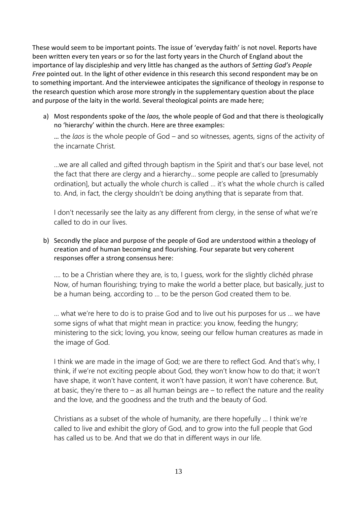These would seem to be important points. The issue of 'everyday faith' is not novel. Reports have been written every ten years or so for the last forty years in the Church of England about the importance of lay discipleship and very little has changed as the authors of *Setting God's People Free* pointed out. In the light of other evidence in this research this second respondent may be on to something important. And the interviewee anticipates the significance of theology in response to the research question which arose more strongly in the supplementary question about the place and purpose of the laity in the world. Several theological points are made here;

a) Most respondents spoke of the *laos,* the whole people of God and that there is theologically no 'hierarchy' within the church. Here are three examples:

… the *laos* is the whole people of God – and so witnesses, agents, signs of the activity of the incarnate Christ.

…we are all called and gifted through baptism in the Spirit and that's our base level, not the fact that there are clergy and a hierarchy… some people are called to [presumably ordination], but actually the whole church is called … it's what the whole church is called to. And, in fact, the clergy shouldn't be doing anything that is separate from that.

I don't necessarily see the laity as any different from clergy, in the sense of what we're called to do in our lives.

b) Secondly the place and purpose of the people of God are understood within a theology of creation and of human becoming and flourishing. Four separate but very coherent responses offer a strong consensus here:

…. to be a Christian where they are, is to, I guess, work for the slightly clichéd phrase Now, of human flourishing; trying to make the world a better place, but basically, just to be a human being, according to … to be the person God created them to be.

… what we're here to do is to praise God and to live out his purposes for us … we have some signs of what that might mean in practice: you know, feeding the hungry; ministering to the sick; loving, you know, seeing our fellow human creatures as made in the image of God.

I think we are made in the image of God; we are there to reflect God. And that's why, I think, if we're not exciting people about God, they won't know how to do that; it won't have shape, it won't have content, it won't have passion, it won't have coherence. But, at basic, they're there to  $-$  as all human beings are  $-$  to reflect the nature and the reality and the love, and the goodness and the truth and the beauty of God.

Christians as a subset of the whole of humanity, are there hopefully … I think we're called to live and exhibit the glory of God, and to grow into the full people that God has called us to be. And that we do that in different ways in our life.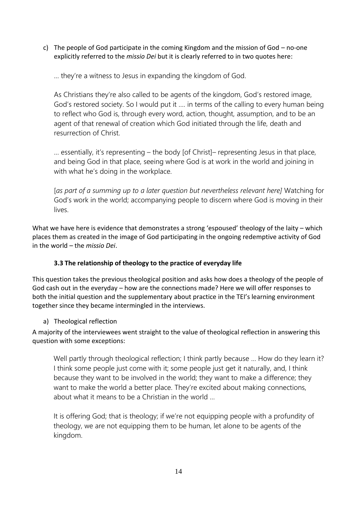c) The people of God participate in the coming Kingdom and the mission of God – no-one explicitly referred to the *missio Dei* but it is clearly referred to in two quotes here:

… they're a witness to Jesus in expanding the kingdom of God.

As Christians they're also called to be agents of the kingdom, God's restored image, God's restored society. So I would put it …. in terms of the calling to every human being to reflect who God is, through every word, action, thought, assumption, and to be an agent of that renewal of creation which God initiated through the life, death and resurrection of Christ.

… essentially, it's representing – the body [of Christ]– representing Jesus in that place, and being God in that place, seeing where God is at work in the world and joining in with what he's doing in the workplace.

[*as part of a summing up to a later question but nevertheless relevant here]* Watching for God's work in the world; accompanying people to discern where God is moving in their lives.

What we have here is evidence that demonstrates a strong 'espoused' theology of the laity – which places them as created in the image of God participating in the ongoing redemptive activity of God in the world – the *missio Dei*.

# **3.3 The relationship of theology to the practice of everyday life**

This question takes the previous theological position and asks how does a theology of the people of God cash out in the everyday – how are the connections made? Here we will offer responses to both the initial question and the supplementary about practice in the TEI's learning environment together since they became intermingled in the interviews.

# a) Theological reflection

A majority of the interviewees went straight to the value of theological reflection in answering this question with some exceptions:

Well partly through theological reflection; I think partly because ... How do they learn it? I think some people just come with it; some people just get it naturally, and, I think because they want to be involved in the world; they want to make a difference; they want to make the world a better place. They're excited about making connections, about what it means to be a Christian in the world …

It is offering God; that is theology; if we're not equipping people with a profundity of theology, we are not equipping them to be human, let alone to be agents of the kingdom.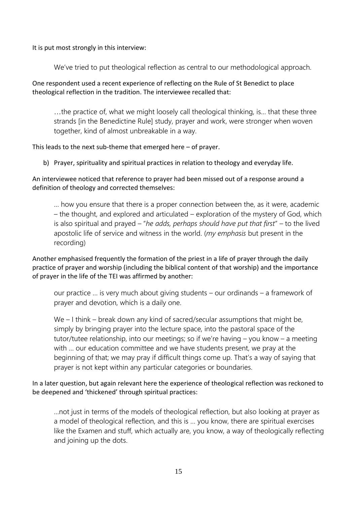It is put most strongly in this interview:

We've tried to put theological reflection as central to our methodological approach.

One respondent used a recent experience of reflecting on the Rule of St Benedict to place theological reflection in the tradition. The interviewee recalled that:

…the practice of, what we might loosely call theological thinking, is… that these three strands [in the Benedictine Rule] study, prayer and work, were stronger when woven together, kind of almost unbreakable in a way.

This leads to the next sub-theme that emerged here – of prayer.

b) Prayer, spirituality and spiritual practices in relation to theology and everyday life.

An interviewee noticed that reference to prayer had been missed out of a response around a definition of theology and corrected themselves:

… how you ensure that there is a proper connection between the, as it were, academic – the thought, and explored and articulated – exploration of the mystery of God, which is also spiritual and prayed – "*he adds, perhaps should have put that first*" – to the lived apostolic life of service and witness in the world. (*my emphasis* but present in the recording)

Another emphasised frequently the formation of the priest in a life of prayer through the daily practice of prayer and worship (including the biblical content of that worship) and the importance of prayer in the life of the TEI was affirmed by another:

our practice … is very much about giving students – our ordinands – a framework of prayer and devotion, which is a daily one.

We – I think – break down any kind of sacred/secular assumptions that might be, simply by bringing prayer into the lecture space, into the pastoral space of the tutor/tutee relationship, into our meetings; so if we're having – you know – a meeting with … our education committee and we have students present, we pray at the beginning of that; we may pray if difficult things come up. That's a way of saying that prayer is not kept within any particular categories or boundaries.

In a later question, but again relevant here the experience of theological reflection was reckoned to be deepened and 'thickened' through spiritual practices:

…not just in terms of the models of theological reflection, but also looking at prayer as a model of theological reflection, and this is … you know, there are spiritual exercises like the Examen and stuff, which actually are, you know, a way of theologically reflecting and joining up the dots.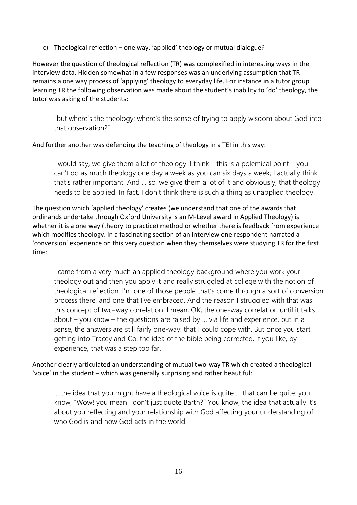c) Theological reflection – one way, 'applied' theology or mutual dialogue?

However the question of theological reflection (TR) was complexified in interesting ways in the interview data. Hidden somewhat in a few responses was an underlying assumption that TR remains a one way process of 'applying' theology to everyday life. For instance in a tutor group learning TR the following observation was made about the student's inability to 'do' theology, the tutor was asking of the students:

"but where's the theology; where's the sense of trying to apply wisdom about God into that observation?"

And further another was defending the teaching of theology in a TEI in this way:

I would say, we give them a lot of theology. I think – this is a polemical point – you can't do as much theology one day a week as you can six days a week; I actually think that's rather important. And … so, we give them a lot of it and obviously, that theology needs to be applied. In fact, I don't think there is such a thing as unapplied theology.

The question which 'applied theology' creates (we understand that one of the awards that ordinands undertake through Oxford University is an M-Level award in Applied Theology) is whether it is a one way (theory to practice) method or whether there is feedback from experience which modifies theology. In a fascinating section of an interview one respondent narrated a 'conversion' experience on this very question when they themselves were studying TR for the first time:

I came from a very much an applied theology background where you work your theology out and then you apply it and really struggled at college with the notion of theological reflection. I'm one of those people that's come through a sort of conversion process there, and one that I've embraced. And the reason I struggled with that was this concept of two-way correlation. I mean, OK, the one-way correlation until it talks about – you know – the questions are raised by … via life and experience, but in a sense, the answers are still fairly one-way: that I could cope with. But once you start getting into Tracey and Co. the idea of the bible being corrected, if you like, by experience, that was a step too far.

Another clearly articulated an understanding of mutual two-way TR which created a theological 'voice' in the student – which was generally surprising and rather beautiful:

… the idea that you might have a theological voice is quite … that can be quite: you know, "Wow! you mean I don't just quote Barth?" You know, the idea that actually it's about you reflecting and your relationship with God affecting your understanding of who God is and how God acts in the world.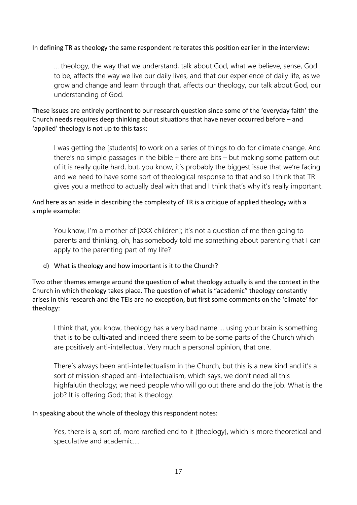## In defining TR as theology the same respondent reiterates this position earlier in the interview:

… theology, the way that we understand, talk about God, what we believe, sense, God to be, affects the way we live our daily lives, and that our experience of daily life, as we grow and change and learn through that, affects our theology, our talk about God, our understanding of God.

These issues are entirely pertinent to our research question since some of the 'everyday faith' the Church needs requires deep thinking about situations that have never occurred before – and 'applied' theology is not up to this task:

I was getting the [students] to work on a series of things to do for climate change. And there's no simple passages in the bible – there are bits – but making some pattern out of it is really quite hard, but, you know, it's probably the biggest issue that we're facing and we need to have some sort of theological response to that and so I think that TR gives you a method to actually deal with that and I think that's why it's really important.

And here as an aside in describing the complexity of TR is a critique of applied theology with a simple example:

You know, I'm a mother of [XXX children]; it's not a question of me then going to parents and thinking, oh, has somebody told me something about parenting that I can apply to the parenting part of my life?

d) What is theology and how important is it to the Church?

Two other themes emerge around the question of what theology actually is and the context in the Church in which theology takes place. The question of what is "academic" theology constantly arises in this research and the TEIs are no exception, but first some comments on the 'climate' for theology:

I think that, you know, theology has a very bad name … using your brain is something that is to be cultivated and indeed there seem to be some parts of the Church which are positively anti-intellectual. Very much a personal opinion, that one.

There's always been anti-intellectualism in the Church, but this is a new kind and it's a sort of mission-shaped anti-intellectualism, which says, we don't need all this highfalutin theology; we need people who will go out there and do the job. What is the job? It is offering God; that is theology.

#### In speaking about the whole of theology this respondent notes:

Yes, there is a, sort of, more rarefied end to it [theology], which is more theoretical and speculative and academic….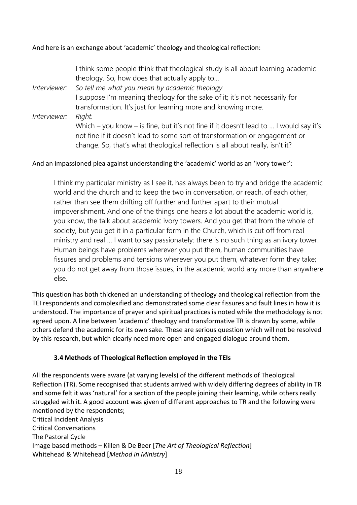## And here is an exchange about 'academic' theology and theological reflection:

I think some people think that theological study is all about learning academic theology. So, how does that actually apply to… *Interviewer: So tell me what you mean by academic theology*  I suppose I'm meaning theology for the sake of it; it's not necessarily for transformation. It's just for learning more and knowing more. *Interviewer: Right.* Which – you know – is fine, but it's not fine if it doesn't lead to … I would say it's not fine if it doesn't lead to some sort of transformation or engagement or change. So, that's what theological reflection is all about really, isn't it?

#### And an impassioned plea against understanding the 'academic' world as an 'ivory tower':

I think my particular ministry as I see it, has always been to try and bridge the academic world and the church and to keep the two in conversation, or reach, of each other, rather than see them drifting off further and further apart to their mutual impoverishment. And one of the things one hears a lot about the academic world is, you know, the talk about academic ivory towers. And you get that from the whole of society, but you get it in a particular form in the Church, which is cut off from real ministry and real … I want to say passionately: there is no such thing as an ivory tower. Human beings have problems wherever you put them, human communities have fissures and problems and tensions wherever you put them, whatever form they take; you do not get away from those issues, in the academic world any more than anywhere else.

This question has both thickened an understanding of theology and theological reflection from the TEI respondents and complexified and demonstrated some clear fissures and fault lines in how it is understood. The importance of prayer and spiritual practices is noted while the methodology is not agreed upon. A line between 'academic' theology and transformative TR is drawn by some, while others defend the academic for its own sake. These are serious question which will not be resolved by this research, but which clearly need more open and engaged dialogue around them.

#### **3.4 Methods of Theological Reflection employed in the TEIs**

All the respondents were aware (at varying levels) of the different methods of Theological Reflection (TR). Some recognised that students arrived with widely differing degrees of ability in TR and some felt it was 'natural' for a section of the people joining their learning, while others really struggled with it. A good account was given of different approaches to TR and the following were mentioned by the respondents; Critical Incident Analysis Critical Conversations The Pastoral Cycle Image based methods – Killen & De Beer [*The Art of Theological Reflection*] Whitehead & Whitehead [*Method in Ministry*]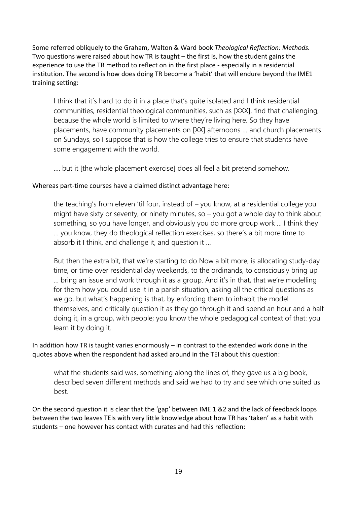Some referred obliquely to the Graham, Walton & Ward book *Theological Reflection: Methods.*  Two questions were raised about how TR is taught – the first is, how the student gains the experience to use the TR method to reflect on in the first place - especially in a residential institution. The second is how does doing TR become a 'habit' that will endure beyond the IME1 training setting:

I think that it's hard to do it in a place that's quite isolated and I think residential communities, residential theological communities, such as [XXX], find that challenging, because the whole world is limited to where they're living here. So they have placements, have community placements on [XX] afternoons … and church placements on Sundays, so I suppose that is how the college tries to ensure that students have some engagement with the world.

…. but it [the whole placement exercise] does all feel a bit pretend somehow.

# Whereas part-time courses have a claimed distinct advantage here:

the teaching's from eleven 'til four, instead of – you know, at a residential college you might have sixty or seventy, or ninety minutes, so – you got a whole day to think about something, so you have longer, and obviously you do more group work … I think they … you know, they do theological reflection exercises, so there's a bit more time to absorb it I think, and challenge it, and question it …

But then the extra bit, that we're starting to do Now a bit more, is allocating study-day time, or time over residential day weekends, to the ordinands, to consciously bring up … bring an issue and work through it as a group. And it's in that, that we're modelling for them how you could use it in a parish situation, asking all the critical questions as we go, but what's happening is that, by enforcing them to inhabit the model themselves, and critically question it as they go through it and spend an hour and a half doing it, in a group, with people; you know the whole pedagogical context of that: you learn it by doing it.

In addition how TR is taught varies enormously – in contrast to the extended work done in the quotes above when the respondent had asked around in the TEI about this question:

what the students said was, something along the lines of, they gave us a big book, described seven different methods and said we had to try and see which one suited us best.

On the second question it is clear that the 'gap' between IME 1 &2 and the lack of feedback loops between the two leaves TEIs with very little knowledge about how TR has 'taken' as a habit with students – one however has contact with curates and had this reflection: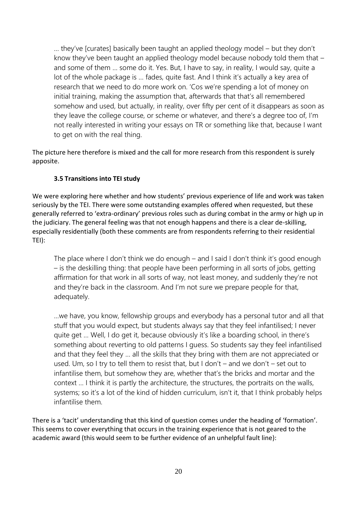… they've [curates] basically been taught an applied theology model – but they don't know they've been taught an applied theology model because nobody told them that and some of them … some do it. Yes. But, I have to say, in reality, I would say, quite a lot of the whole package is … fades, quite fast. And I think it's actually a key area of research that we need to do more work on. 'Cos we're spending a lot of money on initial training, making the assumption that, afterwards that that's all remembered somehow and used, but actually, in reality, over fifty per cent of it disappears as soon as they leave the college course, or scheme or whatever, and there's a degree too of, I'm not really interested in writing your essays on TR or something like that, because I want to get on with the real thing.

The picture here therefore is mixed and the call for more research from this respondent is surely apposite.

# **3.5 Transitions into TEI study**

We were exploring here whether and how students' previous experience of life and work was taken seriously by the TEI. There were some outstanding examples offered when requested, but these generally referred to 'extra-ordinary' previous roles such as during combat in the army or high up in the judiciary. The general feeling was that not enough happens and there is a clear de-skilling, especially residentially (both these comments are from respondents referring to their residential TEI):

The place where I don't think we do enough – and I said I don't think it's good enough – is the deskilling thing: that people have been performing in all sorts of jobs, getting affirmation for that work in all sorts of way, not least money, and suddenly they're not and they're back in the classroom. And I'm not sure we prepare people for that, adequately.

…we have, you know, fellowship groups and everybody has a personal tutor and all that stuff that you would expect, but students always say that they feel infantilised; I never quite get … Well, I do get it, because obviously it's like a boarding school, in there's something about reverting to old patterns I guess. So students say they feel infantilised and that they feel they … all the skills that they bring with them are not appreciated or used. Um, so I try to tell them to resist that, but I don't – and we don't – set out to infantilise them, but somehow they are, whether that's the bricks and mortar and the context … I think it is partly the architecture, the structures, the portraits on the walls, systems; so it's a lot of the kind of hidden curriculum, isn't it, that I think probably helps infantilise them.

There is a 'tacit' understanding that this kind of question comes under the heading of 'formation'. This seems to cover everything that occurs in the training experience that is not geared to the academic award (this would seem to be further evidence of an unhelpful fault line):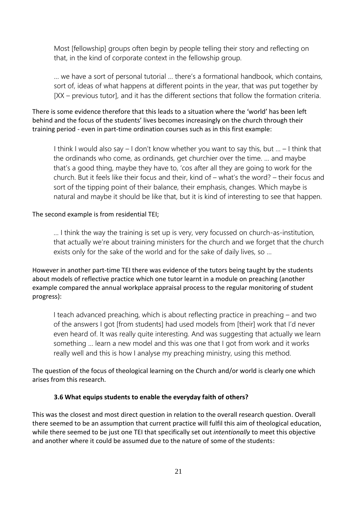Most [fellowship] groups often begin by people telling their story and reflecting on that, in the kind of corporate context in the fellowship group.

… we have a sort of personal tutorial … there's a formational handbook, which contains, sort of, ideas of what happens at different points in the year, that was put together by [XX – previous tutor], and it has the different sections that follow the formation criteria.

There is some evidence therefore that this leads to a situation where the 'world' has been left behind and the focus of the students' lives becomes increasingly on the church through their training period - even in part-time ordination courses such as in this first example:

I think I would also say – I don't know whether you want to say this, but … – I think that the ordinands who come, as ordinands, get churchier over the time. … and maybe that's a good thing, maybe they have to, 'cos after all they are going to work for the church. But it feels like their focus and their, kind of – what's the word? – their focus and sort of the tipping point of their balance, their emphasis, changes. Which maybe is natural and maybe it should be like that, but it is kind of interesting to see that happen.

#### The second example is from residential TEI;

… I think the way the training is set up is very, very focussed on church-as-institution, that actually we're about training ministers for the church and we forget that the church exists only for the sake of the world and for the sake of daily lives, so …

However in another part-time TEI there was evidence of the tutors being taught by the students about models of reflective practice which one tutor learnt in a module on preaching (another example compared the annual workplace appraisal process to the regular monitoring of student progress):

I teach advanced preaching, which is about reflecting practice in preaching – and two of the answers I got [from students] had used models from [their] work that I'd never even heard of. It was really quite interesting. And was suggesting that actually we learn something … learn a new model and this was one that I got from work and it works really well and this is how I analyse my preaching ministry, using this method.

The question of the focus of theological learning on the Church and/or world is clearly one which arises from this research.

#### **3.6 What equips students to enable the everyday faith of others?**

This was the closest and most direct question in relation to the overall research question. Overall there seemed to be an assumption that current practice will fulfil this aim of theological education, while there seemed to be just one TEI that specifically set out *intentionally* to meet this objective and another where it could be assumed due to the nature of some of the students: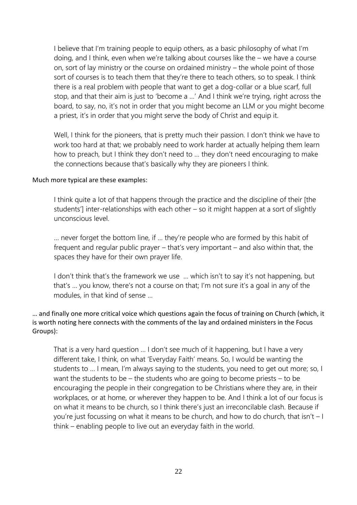I believe that I'm training people to equip others, as a basic philosophy of what I'm doing, and I think, even when we're talking about courses like the – we have a course on, sort of lay ministry or the course on ordained ministry – the whole point of those sort of courses is to teach them that they're there to teach others, so to speak. I think there is a real problem with people that want to get a dog-collar or a blue scarf, full stop, and that their aim is just to 'become a …' And I think we're trying, right across the board, to say, no, it's not in order that you might become an LLM or you might become a priest, it's in order that you might serve the body of Christ and equip it.

Well, I think for the pioneers, that is pretty much their passion. I don't think we have to work too hard at that; we probably need to work harder at actually helping them learn how to preach, but I think they don't need to … they don't need encouraging to make the connections because that's basically why they are pioneers I think.

#### Much more typical are these examples:

I think quite a lot of that happens through the practice and the discipline of their [the students'] inter-relationships with each other – so it might happen at a sort of slightly unconscious level.

… never forget the bottom line, if … they're people who are formed by this habit of frequent and regular public prayer – that's very important – and also within that, the spaces they have for their own prayer life.

I don't think that's the framework we use ... which isn't to say it's not happening, but that's … you know, there's not a course on that; I'm not sure it's a goal in any of the modules, in that kind of sense …

# … and finally one more critical voice which questions again the focus of training on Church (which, it is worth noting here connects with the comments of the lay and ordained ministers in the Focus Groups):

That is a very hard question … I don't see much of it happening, but I have a very different take, I think, on what 'Everyday Faith' means. So, I would be wanting the students to … I mean, I'm always saying to the students, you need to get out more; so, I want the students to be – the students who are going to become priests – to be encouraging the people in their congregation to be Christians where they are, in their workplaces, or at home, or wherever they happen to be. And I think a lot of our focus is on what it means to be church, so I think there's just an irreconcilable clash. Because if you're just focussing on what it means to be church, and how to do church, that isn't – I think – enabling people to live out an everyday faith in the world.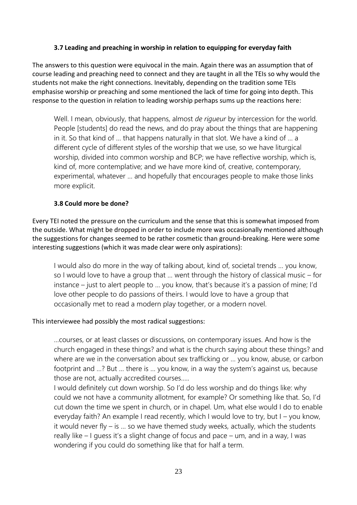# **3.7 Leading and preaching in worship in relation to equipping for everyday faith**

The answers to this question were equivocal in the main. Again there was an assumption that of course leading and preaching need to connect and they are taught in all the TEIs so why would the students not make the right connections. Inevitably, depending on the tradition some TEIs emphasise worship or preaching and some mentioned the lack of time for going into depth. This response to the question in relation to leading worship perhaps sums up the reactions here:

Well. I mean, obviously, that happens, almost *de rigueur* by intercession for the world. People [students] do read the news, and do pray about the things that are happening in it. So that kind of … that happens naturally in that slot. We have a kind of … a different cycle of different styles of the worship that we use, so we have liturgical worship, divided into common worship and BCP; we have reflective worship, which is, kind of, more contemplative; and we have more kind of, creative, contemporary, experimental, whatever … and hopefully that encourages people to make those links more explicit.

# **3.8 Could more be done?**

Every TEI noted the pressure on the curriculum and the sense that this is somewhat imposed from the outside. What might be dropped in order to include more was occasionally mentioned although the suggestions for changes seemed to be rather cosmetic than ground-breaking. Here were some interesting suggestions (which it was made clear were only aspirations):

I would also do more in the way of talking about, kind of, societal trends … you know, so I would love to have a group that … went through the history of classical music – for instance – just to alert people to … you know, that's because it's a passion of mine; I'd love other people to do passions of theirs. I would love to have a group that occasionally met to read a modern play together, or a modern novel.

#### This interviewee had possibly the most radical suggestions:

…courses, or at least classes or discussions, on contemporary issues. And how is the church engaged in these things? and what is the church saying about these things? and where are we in the conversation about sex trafficking or … you know, abuse, or carbon footprint and …? But … there is … you know, in a way the system's against us, because those are not, actually accredited courses…..

I would definitely cut down worship. So I'd do less worship and do things like: why could we not have a community allotment, for example? Or something like that. So, I'd cut down the time we spent in church, or in chapel. Um, what else would I do to enable everyday faith? An example I read recently, which I would love to try, but I – you know, it would never fly – is … so we have themed study weeks, actually, which the students really like – I guess it's a slight change of focus and pace – um, and in a way, I was wondering if you could do something like that for half a term.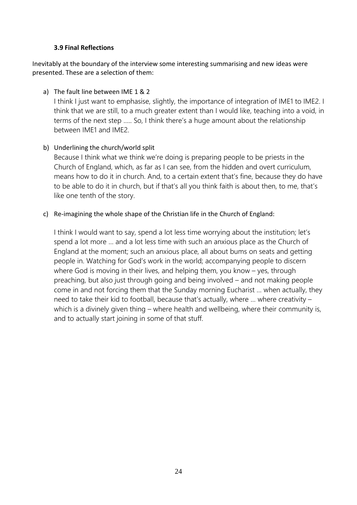#### **3.9 Final Reflections**

Inevitably at the boundary of the interview some interesting summarising and new ideas were presented. These are a selection of them:

# a) The fault line between IME 1 & 2

I think I just want to emphasise, slightly, the importance of integration of IME1 to IME2. I think that we are still, to a much greater extent than I would like, teaching into a void, in terms of the next step ….. So, I think there's a huge amount about the relationship between IME1 and IME2.

# b) Underlining the church/world split

Because I think what we think we're doing is preparing people to be priests in the Church of England, which, as far as I can see, from the hidden and overt curriculum, means how to do it in church. And, to a certain extent that's fine, because they do have to be able to do it in church, but if that's all you think faith is about then, to me, that's like one tenth of the story.

# c) Re-imagining the whole shape of the Christian life in the Church of England:

I think I would want to say, spend a lot less time worrying about the institution; let's spend a lot more … and a lot less time with such an anxious place as the Church of England at the moment; such an anxious place, all about bums on seats and getting people in. Watching for God's work in the world; accompanying people to discern where God is moving in their lives, and helping them, you know – yes, through preaching, but also just through going and being involved – and not making people come in and not forcing them that the Sunday morning Eucharist … when actually, they need to take their kid to football, because that's actually, where … where creativity – which is a divinely given thing – where health and wellbeing, where their community is, and to actually start joining in some of that stuff.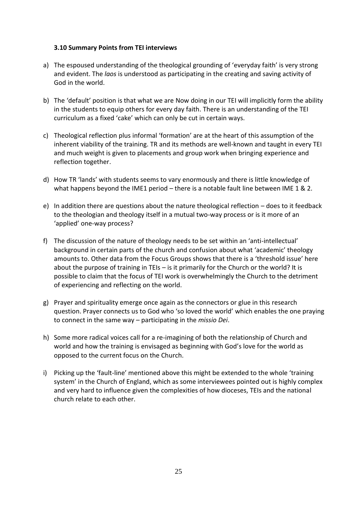#### **3.10 Summary Points from TEI interviews**

- a) The espoused understanding of the theological grounding of 'everyday faith' is very strong and evident. The *laos* is understood as participating in the creating and saving activity of God in the world.
- b) The 'default' position is that what we are Now doing in our TEI will implicitly form the ability in the students to equip others for every day faith. There is an understanding of the TEI curriculum as a fixed 'cake' which can only be cut in certain ways.
- c) Theological reflection plus informal 'formation' are at the heart of this assumption of the inherent viability of the training. TR and its methods are well-known and taught in every TEI and much weight is given to placements and group work when bringing experience and reflection together.
- d) How TR 'lands' with students seems to vary enormously and there is little knowledge of what happens beyond the IME1 period – there is a notable fault line between IME 1 & 2.
- e) In addition there are questions about the nature theological reflection does to it feedback to the theologian and theology itself in a mutual two-way process or is it more of an 'applied' one-way process?
- f) The discussion of the nature of theology needs to be set within an 'anti-intellectual' background in certain parts of the church and confusion about what 'academic' theology amounts to. Other data from the Focus Groups shows that there is a 'threshold issue' here about the purpose of training in TEIs – is it primarily for the Church or the world? It is possible to claim that the focus of TEI work is overwhelmingly the Church to the detriment of experiencing and reflecting on the world.
- g) Prayer and spirituality emerge once again as the connectors or glue in this research question. Prayer connects us to God who 'so loved the world' which enables the one praying to connect in the same way – participating in the *missio Dei*.
- h) Some more radical voices call for a re-imagining of both the relationship of Church and world and how the training is envisaged as beginning with God's love for the world as opposed to the current focus on the Church.
- i) Picking up the 'fault-line' mentioned above this might be extended to the whole 'training system' in the Church of England, which as some interviewees pointed out is highly complex and very hard to influence given the complexities of how dioceses, TEIs and the national church relate to each other.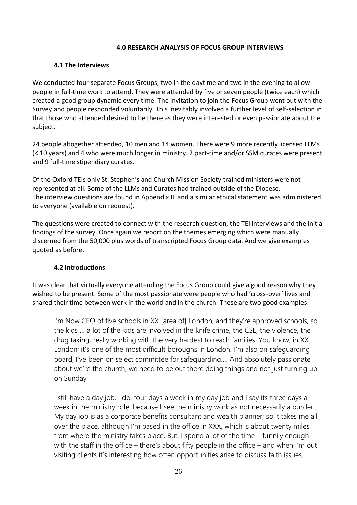#### **4.0 RESEARCH ANALYSIS OF FOCUS GROUP INTERVIEWS**

#### **4.1 The Interviews**

We conducted four separate Focus Groups, two in the daytime and two in the evening to allow people in full-time work to attend. They were attended by five or seven people (twice each) which created a good group dynamic every time. The invitation to join the Focus Group went out with the Survey and people responded voluntarily. This inevitably involved a further level of self-selection in that those who attended desired to be there as they were interested or even passionate about the subject.

24 people altogether attended, 10 men and 14 women. There were 9 more recently licensed LLMs (< 10 years) and 4 who were much longer in ministry. 2 part-time and/or SSM curates were present and 9 full-time stipendiary curates.

Of the Oxford TEIs only St. Stephen's and Church Mission Society trained ministers were not represented at all. Some of the LLMs and Curates had trained outside of the Diocese. The interview questions are found in Appendix III and a similar ethical statement was administered to everyone (available on request).

The questions were created to connect with the research question, the TEI interviews and the initial findings of the survey. Once again we report on the themes emerging which were manually discerned from the 50,000 plus words of transcripted Focus Group data. And we give examples quoted as before.

#### **4.2 Introductions**

It was clear that virtually everyone attending the Focus Group could give a good reason why they wished to be present. Some of the most passionate were people who had 'cross-over' lives and shared their time between work in the world and in the church. These are two good examples:

I'm Now CEO of five schools in XX [area of] London, and they're approved schools, so the kids … a lot of the kids are involved in the knife crime, the CSE, the violence, the drug taking, really working with the very hardest to reach families. You know, in XX London; it's one of the most difficult boroughs in London. I'm also on safeguarding board; I've been on select committee for safeguarding…. And absolutely passionate about we're the church; we need to be out there doing things and not just turning up on Sunday

I still have a day job. I do, four days a week in my day job and I say its three days a week in the ministry role, because I see the ministry work as not necessarily a burden. My day job is as a corporate benefits consultant and wealth planner; so it takes me all over the place, although I'm based in the office in XXX, which is about twenty miles from where the ministry takes place. But, I spend a lot of the time – funnily enough – with the staff in the office – there's about fifty people in the office – and when I'm out visiting clients it's interesting how often opportunities arise to discuss faith issues.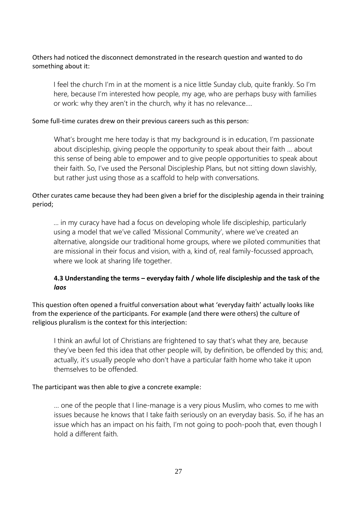## Others had noticed the disconnect demonstrated in the research question and wanted to do something about it:

I feel the church I'm in at the moment is a nice little Sunday club, quite frankly. So I'm here, because I'm interested how people, my age, who are perhaps busy with families or work: why they aren't in the church, why it has no relevance….

#### Some full-time curates drew on their previous careers such as this person:

What's brought me here today is that my background is in education, I'm passionate about discipleship, giving people the opportunity to speak about their faith … about this sense of being able to empower and to give people opportunities to speak about their faith. So, I've used the Personal Discipleship Plans, but not sitting down slavishly, but rather just using those as a scaffold to help with conversations.

# Other curates came because they had been given a brief for the discipleship agenda in their training period;

… in my curacy have had a focus on developing whole life discipleship, particularly using a model that we've called 'Missional Community', where we've created an alternative, alongside our traditional home groups, where we piloted communities that are missional in their focus and vision, with a, kind of, real family-focussed approach, where we look at sharing life together.

# **4.3 Understanding the terms – everyday faith / whole life discipleship and the task of the**  *laos*

This question often opened a fruitful conversation about what 'everyday faith' actually looks like from the experience of the participants. For example (and there were others) the culture of religious pluralism is the context for this interjection:

I think an awful lot of Christians are frightened to say that's what they are, because they've been fed this idea that other people will, by definition, be offended by this; and, actually, it's usually people who don't have a particular faith home who take it upon themselves to be offended.

#### The participant was then able to give a concrete example:

… one of the people that I line-manage is a very pious Muslim, who comes to me with issues because he knows that I take faith seriously on an everyday basis. So, if he has an issue which has an impact on his faith, I'm not going to pooh-pooh that, even though I hold a different faith.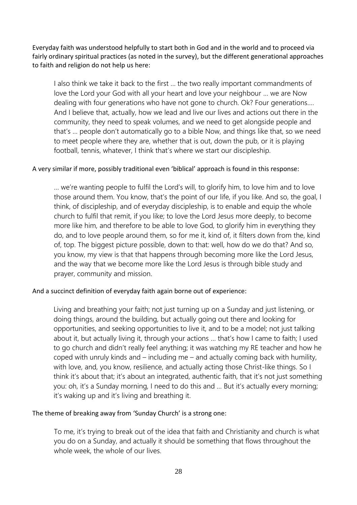Everyday faith was understood helpfully to start both in God and in the world and to proceed via fairly ordinary spiritual practices (as noted in the survey), but the different generational approaches to faith and religion do not help us here:

I also think we take it back to the first … the two really important commandments of love the Lord your God with all your heart and love your neighbour … we are Now dealing with four generations who have not gone to church. Ok? Four generations.… And I believe that, actually, how we lead and live our lives and actions out there in the community, they need to speak volumes, and we need to get alongside people and that's … people don't automatically go to a bible Now, and things like that, so we need to meet people where they are, whether that is out, down the pub, or it is playing football, tennis, whatever, I think that's where we start our discipleship.

#### A very similar if more, possibly traditional even 'biblical' approach is found in this response:

… we're wanting people to fulfil the Lord's will, to glorify him, to love him and to love those around them. You know, that's the point of our life, if you like. And so, the goal, I think, of discipleship, and of everyday discipleship, is to enable and equip the whole church to fulfil that remit, if you like; to love the Lord Jesus more deeply, to become more like him, and therefore to be able to love God, to glorify him in everything they do, and to love people around them, so for me it, kind of, it filters down from the, kind of, top. The biggest picture possible, down to that: well, how do we do that? And so, you know, my view is that that happens through becoming more like the Lord Jesus, and the way that we become more like the Lord Jesus is through bible study and prayer, community and mission.

#### And a succinct definition of everyday faith again borne out of experience:

Living and breathing your faith; not just turning up on a Sunday and just listening, or doing things, around the building, but actually going out there and looking for opportunities, and seeking opportunities to live it, and to be a model; not just talking about it, but actually living it, through your actions … that's how I came to faith; I used to go church and didn't really feel anything; it was watching my RE teacher and how he coped with unruly kinds and – including me – and actually coming back with humility, with love, and, you know, resilience, and actually acting those Christ-like things. So I think it's about that; it's about an integrated, authentic faith, that it's not just something you: oh, it's a Sunday morning, I need to do this and … But it's actually every morning; it's waking up and it's living and breathing it.

#### The theme of breaking away from 'Sunday Church' is a strong one:

To me, it's trying to break out of the idea that faith and Christianity and church is what you do on a Sunday, and actually it should be something that flows throughout the whole week, the whole of our lives.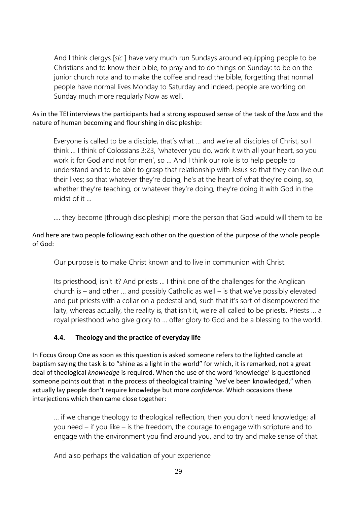And I think clergys [*sic* ] have very much run Sundays around equipping people to be Christians and to know their bible, to pray and to do things on Sunday: to be on the junior church rota and to make the coffee and read the bible, forgetting that normal people have normal lives Monday to Saturday and indeed, people are working on Sunday much more regularly Now as well.

# As in the TEI interviews the participants had a strong espoused sense of the task of the *laos* and the nature of human becoming and flourishing in discipleship:

Everyone is called to be a disciple, that's what … and we're all disciples of Christ, so I think … I think of Colossians 3:23, 'whatever you do, work it with all your heart, so you work it for God and not for men', so … And I think our role is to help people to understand and to be able to grasp that relationship with Jesus so that they can live out their lives; so that whatever they're doing, he's at the heart of what they're doing, so, whether they're teaching, or whatever they're doing, they're doing it with God in the midst of it …

…. they become [through discipleship] more the person that God would will them to be

# And here are two people following each other on the question of the purpose of the whole people of God:

Our purpose is to make Christ known and to live in communion with Christ.

Its priesthood, isn't it? And priests … I think one of the challenges for the Anglican church is – and other … and possibly Catholic as well – is that we've possibly elevated and put priests with a collar on a pedestal and, such that it's sort of disempowered the laity, whereas actually, the reality is, that isn't it, we're all called to be priests. Priests … a royal priesthood who give glory to … offer glory to God and be a blessing to the world.

# **4.4. Theology and the practice of everyday life**

In Focus Group One as soon as this question is asked someone refers to the lighted candle at baptism saying the task is to "shine as a light in the world" for which, it is remarked, not a great deal of theological *knowledge* is required. When the use of the word 'knowledge' is questioned someone points out that in the process of theological training "we've been knowledged," when actually lay people don't require knowledge but more *confidence.* Which occasions these interjections which then came close together:

… if we change theology to theological reflection, then you don't need knowledge; all you need – if you like – is the freedom, the courage to engage with scripture and to engage with the environment you find around you, and to try and make sense of that.

And also perhaps the validation of your experience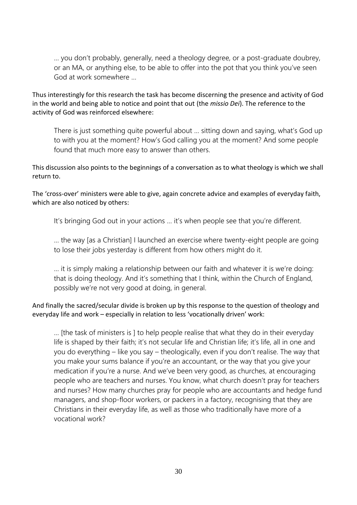… you don't probably, generally, need a theology degree, or a post-graduate doubrey, or an MA, or anything else, to be able to offer into the pot that you think you've seen God at work somewhere

Thus interestingly for this research the task has become discerning the presence and activity of God in the world and being able to notice and point that out (the *missio Dei*). The reference to the activity of God was reinforced elsewhere:

There is just something quite powerful about … sitting down and saying, what's God up to with you at the moment? How's God calling you at the moment? And some people found that much more easy to answer than others.

This discussion also points to the beginnings of a conversation as to what theology is which we shall return to.

The 'cross-over' ministers were able to give, again concrete advice and examples of everyday faith, which are also noticed by others:

It's bringing God out in your actions … it's when people see that you're different.

… the way [as a Christian] I launched an exercise where twenty-eight people are going to lose their jobs yesterday is different from how others might do it.

… it is simply making a relationship between our faith and whatever it is we're doing: that is doing theology. And it's something that I think, within the Church of England, possibly we're not very good at doing, in general.

And finally the sacred/secular divide is broken up by this response to the question of theology and everyday life and work – especially in relation to less 'vocationally driven' work:

… [the task of ministers is ] to help people realise that what they do in their everyday life is shaped by their faith; it's not secular life and Christian life; it's life, all in one and you do everything – like you say – theologically, even if you don't realise. The way that you make your sums balance if you're an accountant, or the way that you give your medication if you're a nurse. And we've been very good, as churches, at encouraging people who are teachers and nurses. You know, what church doesn't pray for teachers and nurses? How many churches pray for people who are accountants and hedge fund managers, and shop-floor workers, or packers in a factory, recognising that they are Christians in their everyday life, as well as those who traditionally have more of a vocational work?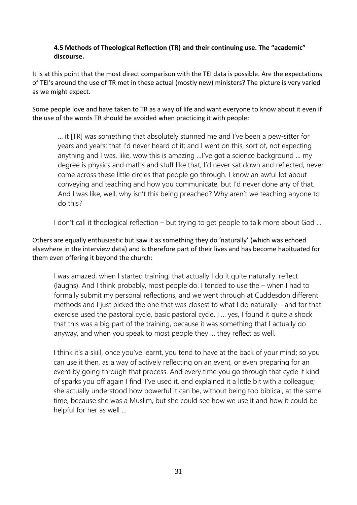# **4.5 Methods of Theological Reflection (TR) and their continuing use. The "academic" discourse.**

It is at this point that the most direct comparison with the TEI data is possible. Are the expectations of TEI's around the use of TR met in these actual (mostly new) ministers? The picture is very varied as we might expect.

Some people love and have taken to TR as a way of life and want everyone to know about it even if the use of the words TR should be avoided when practicing it with people:

… it [TR] was something that absolutely stunned me and I've been a pew-sitter for years and years; that I'd never heard of it; and I went on this, sort of, not expecting anything and I was, like, wow this is amazing …I've got a science background … my degree is physics and maths and stuff like that; I'd never sat down and reflected, never come across these little circles that people go through. I know an awful lot about conveying and teaching and how you communicate, but I'd never done any of that. And I was like, well, why isn't this being preached? Why aren't we teaching anyone to do this?

I don't call it theological reflection – but trying to get people to talk more about God …

Others are equally enthusiastic but saw it as something they do 'naturally' (which was echoed elsewhere in the interview data) and is therefore part of their lives and has become habituated for them even offering it beyond the church:

I was amazed, when I started training, that actually I do it quite naturally: reflect (laughs). And I think probably, most people do. I tended to use the – when I had to formally submit my personal reflections, and we went through at Cuddesdon different methods and I just picked the one that was closest to what I do naturally – and for that exercise used the pastoral cycle, basic pastoral cycle. I … yes, I found it quite a shock that this was a big part of the training, because it was something that I actually do anyway, and when you speak to most people they … they reflect as well.

I think it's a skill, once you've learnt, you tend to have at the back of your mind; so you can use it then, as a way of actively reflecting on an event, or even preparing for an event by going through that process. And every time you go through that cycle it kind of sparks you off again I find. I've used it, and explained it a little bit with a colleague; she actually understood how powerful it can be, without being too biblical, at the same time, because she was a Muslim, but she could see how we use it and how it could be helpful for her as well …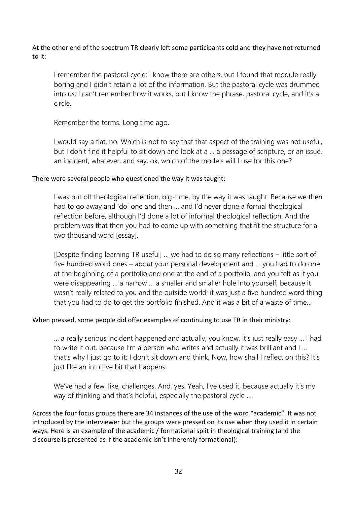At the other end of the spectrum TR clearly left some participants cold and they have not returned to it:

I remember the pastoral cycle; I know there are others, but I found that module really boring and I didn't retain a lot of the information. But the pastoral cycle was drummed into us; I can't remember how it works, but I know the phrase, pastoral cycle, and it's a circle.

Remember the terms. Long time ago.

I would say a flat, no. Which is not to say that that aspect of the training was not useful, but I don't find it helpful to sit down and look at a … a passage of scripture, or an issue, an incident, whatever, and say, ok, which of the models will I use for this one?

#### There were several people who questioned the way it was taught:

I was put off theological reflection, big-time, by the way it was taught. Because we then had to go away and 'do' one and then … and I'd never done a formal theological reflection before, although I'd done a lot of informal theological reflection. And the problem was that then you had to come up with something that fit the structure for a two thousand word [essay].

[Despite finding learning TR useful] … we had to do so many reflections – little sort of five hundred word ones – about your personal development and … you had to do one at the beginning of a portfolio and one at the end of a portfolio, and you felt as if you were disappearing … a narrow … a smaller and smaller hole into yourself, because it wasn't really related to you and the outside world; it was just a five hundred word thing that you had to do to get the portfolio finished. And it was a bit of a waste of time…

#### When pressed, some people did offer examples of continuing to use TR in their ministry:

… a really serious incident happened and actually, you know, it's just really easy … I had to write it out, because I'm a person who writes and actually it was brilliant and I … that's why I just go to it; I don't sit down and think, Now, how shall I reflect on this? It's just like an intuitive bit that happens.

We've had a few, like, challenges. And, yes. Yeah, I've used it, because actually it's my way of thinking and that's helpful, especially the pastoral cycle …

Across the four focus groups there are 34 instances of the use of the word "academic". It was not introduced by the interviewer but the groups were pressed on its use when they used it in certain ways. Here is an example of the academic / formational split in theological training (and the discourse is presented as if the academic isn't inherently formational):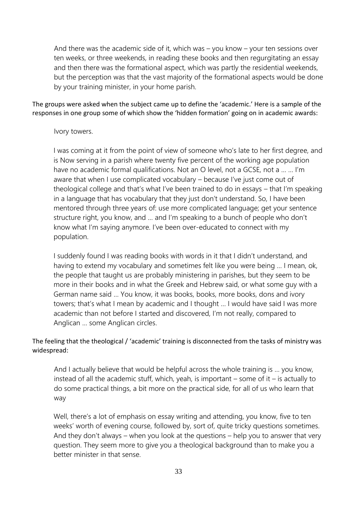And there was the academic side of it, which was – you know – your ten sessions over ten weeks, or three weekends, in reading these books and then regurgitating an essay and then there was the formational aspect, which was partly the residential weekends, but the perception was that the vast majority of the formational aspects would be done by your training minister, in your home parish.

The groups were asked when the subject came up to define the 'academic.' Here is a sample of the responses in one group some of which show the 'hidden formation' going on in academic awards:

# Ivory towers.

I was coming at it from the point of view of someone who's late to her first degree, and is Now serving in a parish where twenty five percent of the working age population have no academic formal qualifications. Not an O level, not a GCSE, not a … … I'm aware that when I use complicated vocabulary – because I've just come out of theological college and that's what I've been trained to do in essays – that I'm speaking in a language that has vocabulary that they just don't understand. So, I have been mentored through three years of: use more complicated language; get your sentence structure right, you know, and … and I'm speaking to a bunch of people who don't know what I'm saying anymore. I've been over-educated to connect with my population.

I suddenly found I was reading books with words in it that I didn't understand, and having to extend my vocabulary and sometimes felt like you were being … I mean, ok, the people that taught us are probably ministering in parishes, but they seem to be more in their books and in what the Greek and Hebrew said, or what some guy with a German name said … You know, it was books, books, more books, dons and ivory towers; that's what I mean by academic and I thought … I would have said I was more academic than not before I started and discovered, I'm not really, compared to Anglican … some Anglican circles.

# The feeling that the theological / 'academic' training is disconnected from the tasks of ministry was widespread:

And I actually believe that would be helpful across the whole training is … you know, instead of all the academic stuff, which, yeah, is important  $-$  some of it  $-$  is actually to do some practical things, a bit more on the practical side, for all of us who learn that way

Well, there's a lot of emphasis on essay writing and attending, you know, five to ten weeks' worth of evening course, followed by, sort of, quite tricky questions sometimes. And they don't always – when you look at the questions – help you to answer that very question. They seem more to give you a theological background than to make you a better minister in that sense.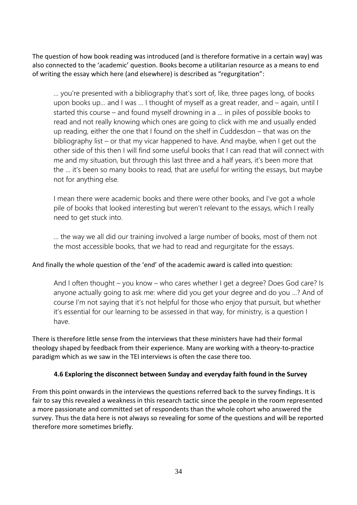The question of how book reading was introduced (and is therefore formative in a certain way) was also connected to the 'academic' question. Books become a utilitarian resource as a means to end of writing the essay which here (and elsewhere) is described as "regurgitation":

… you're presented with a bibliography that's sort of, like, three pages long, of books upon books up… and I was … I thought of myself as a great reader, and – again, until I started this course – and found myself drowning in a … in piles of possible books to read and not really knowing which ones are going to click with me and usually ended up reading, either the one that I found on the shelf in Cuddesdon – that was on the bibliography list – or that my vicar happened to have. And maybe, when I get out the other side of this then I will find some useful books that I can read that will connect with me and my situation, but through this last three and a half years, it's been more that the … it's been so many books to read, that are useful for writing the essays, but maybe not for anything else.

I mean there were academic books and there were other books, and I've got a whole pile of books that looked interesting but weren't relevant to the essays, which I really need to get stuck into.

… the way we all did our training involved a large number of books, most of them not the most accessible books, that we had to read and regurgitate for the essays.

#### And finally the whole question of the 'end' of the academic award is called into question:

And I often thought – you know – who cares whether I get a degree? Does God care? Is anyone actually going to ask me: where did you get your degree and do you …? And of course I'm not saying that it's not helpful for those who enjoy that pursuit, but whether it's essential for our learning to be assessed in that way, for ministry, is a question I have.

There is therefore little sense from the interviews that these ministers have had their formal theology shaped by feedback from their experience. Many are working with a theory-to-practice paradigm which as we saw in the TEI interviews is often the case there too.

#### **4.6 Exploring the disconnect between Sunday and everyday faith found in the Survey**

From this point onwards in the interviews the questions referred back to the survey findings. It is fair to say this revealed a weakness in this research tactic since the people in the room represented a more passionate and committed set of respondents than the whole cohort who answered the survey. Thus the data here is not always so revealing for some of the questions and will be reported therefore more sometimes briefly.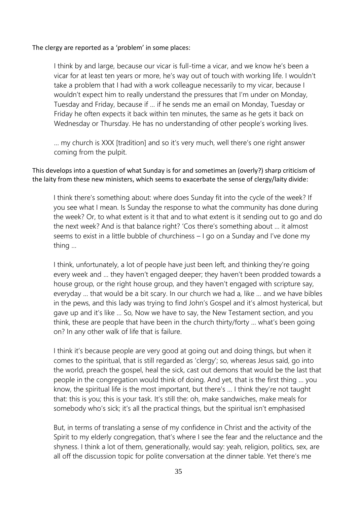#### The clergy are reported as a 'problem' in some places:

I think by and large, because our vicar is full-time a vicar, and we know he's been a vicar for at least ten years or more, he's way out of touch with working life. I wouldn't take a problem that I had with a work colleague necessarily to my vicar, because I wouldn't expect him to really understand the pressures that I'm under on Monday, Tuesday and Friday, because if … if he sends me an email on Monday, Tuesday or Friday he often expects it back within ten minutes, the same as he gets it back on Wednesday or Thursday. He has no understanding of other people's working lives.

… my church is XXX [tradition] and so it's very much, well there's one right answer coming from the pulpit.

This develops into a question of what Sunday is for and sometimes an (overly?) sharp criticism of the laity from these new ministers, which seems to exacerbate the sense of clergy/laity divide:

I think there's something about: where does Sunday fit into the cycle of the week? If you see what I mean. Is Sunday the response to what the community has done during the week? Or, to what extent is it that and to what extent is it sending out to go and do the next week? And is that balance right? 'Cos there's something about … it almost seems to exist in a little bubble of churchiness – I go on a Sunday and I've done my thing …

I think, unfortunately, a lot of people have just been left, and thinking they're going every week and … they haven't engaged deeper; they haven't been prodded towards a house group, or the right house group, and they haven't engaged with scripture say, everyday … that would be a bit scary. In our church we had a, like … and we have bibles in the pews, and this lady was trying to find John's Gospel and it's almost hysterical, but gave up and it's like … So, Now we have to say, the New Testament section, and you think, these are people that have been in the church thirty/forty … what's been going on? In any other walk of life that is failure.

I think it's because people are very good at going out and doing things, but when it comes to the spiritual, that is still regarded as 'clergy'; so, whereas Jesus said, go into the world, preach the gospel, heal the sick, cast out demons that would be the last that people in the congregation would think of doing. And yet, that is the first thing … you know, the spiritual life is the most important, but there's … I think they're not taught that: this is you; this is your task. It's still the: oh, make sandwiches, make meals for somebody who's sick; it's all the practical things, but the spiritual isn't emphasised

But, in terms of translating a sense of my confidence in Christ and the activity of the Spirit to my elderly congregation, that's where I see the fear and the reluctance and the shyness. I think a lot of them, generationally, would say: yeah, religion, politics, sex, are all off the discussion topic for polite conversation at the dinner table. Yet there's me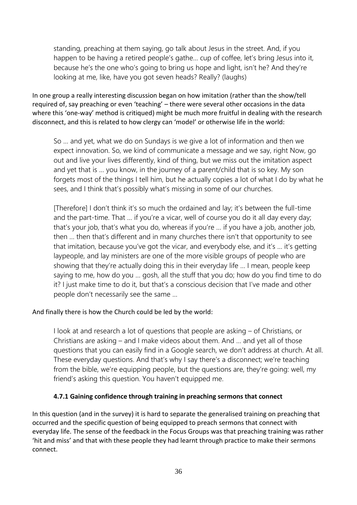standing, preaching at them saying, go talk about Jesus in the street. And, if you happen to be having a retired people's gathe… cup of coffee, let's bring Jesus into it, because he's the one who's going to bring us hope and light, isn't he? And they're looking at me, like, have you got seven heads? Really? (laughs)

In one group a really interesting discussion began on how imitation (rather than the show/tell required of, say preaching or even 'teaching' – there were several other occasions in the data where this 'one-way' method is critiqued) might be much more fruitful in dealing with the research disconnect, and this is related to how clergy can 'model' or otherwise life in the world:

So … and yet, what we do on Sundays is we give a lot of information and then we expect innovation. So, we kind of communicate a message and we say, right Now, go out and live your lives differently, kind of thing, but we miss out the imitation aspect and yet that is … you know, in the journey of a parent/child that is so key. My son forgets most of the things I tell him, but he actually copies a lot of what I do by what he sees, and I think that's possibly what's missing in some of our churches.

[Therefore] I don't think it's so much the ordained and lay; it's between the full-time and the part-time. That … if you're a vicar, well of course you do it all day every day; that's your job, that's what you do, whereas if you're … if you have a job, another job, then … then that's different and in many churches there isn't that opportunity to see that imitation, because you've got the vicar, and everybody else, and it's … it's getting laypeople, and lay ministers are one of the more visible groups of people who are showing that they're actually doing this in their everyday life … I mean, people keep saying to me, how do you … gosh, all the stuff that you do; how do you find time to do it? I just make time to do it, but that's a conscious decision that I've made and other people don't necessarily see the same …

#### And finally there is how the Church could be led by the world:

I look at and research a lot of questions that people are asking – of Christians, or Christians are asking – and I make videos about them. And … and yet all of those questions that you can easily find in a Google search, we don't address at church. At all. These everyday questions. And that's why I say there's a disconnect; we're teaching from the bible, we're equipping people, but the questions are, they're going: well, my friend's asking this question. You haven't equipped me.

#### **4.7.1 Gaining confidence through training in preaching sermons that connect**

In this question (and in the survey) it is hard to separate the generalised training on preaching that occurred and the specific question of being equipped to preach sermons that connect with everyday life. The sense of the feedback in the Focus Groups was that preaching training was rather 'hit and miss' and that with these people they had learnt through practice to make their sermons connect.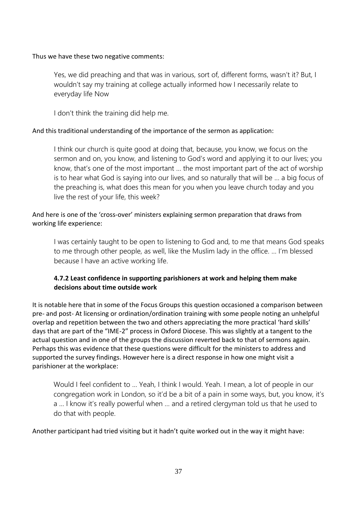#### Thus we have these two negative comments:

Yes, we did preaching and that was in various, sort of, different forms, wasn't it? But, I wouldn't say my training at college actually informed how I necessarily relate to everyday life Now

I don't think the training did help me.

# And this traditional understanding of the importance of the sermon as application:

I think our church is quite good at doing that, because, you know, we focus on the sermon and on, you know, and listening to God's word and applying it to our lives; you know, that's one of the most important … the most important part of the act of worship is to hear what God is saying into our lives, and so naturally that will be … a big focus of the preaching is, what does this mean for you when you leave church today and you live the rest of your life, this week?

# And here is one of the 'cross-over' ministers explaining sermon preparation that draws from working life experience:

I was certainly taught to be open to listening to God and, to me that means God speaks to me through other people, as well, like the Muslim lady in the office. … I'm blessed because I have an active working life.

# **4.7.2 Least confidence in supporting parishioners at work and helping them make decisions about time outside work**

It is notable here that in some of the Focus Groups this question occasioned a comparison between pre- and post- At licensing or ordination/ordination training with some people noting an unhelpful overlap and repetition between the two and others appreciating the more practical 'hard skills' days that are part of the "IME-2" process in Oxford Diocese. This was slightly at a tangent to the actual question and in one of the groups the discussion reverted back to that of sermons again. Perhaps this was evidence that these questions were difficult for the ministers to address and supported the survey findings. However here is a direct response in how one might visit a parishioner at the workplace:

Would I feel confident to … Yeah, I think I would. Yeah. I mean, a lot of people in our congregation work in London, so it'd be a bit of a pain in some ways, but, you know, it's a … I know it's really powerful when … and a retired clergyman told us that he used to do that with people.

Another participant had tried visiting but it hadn't quite worked out in the way it might have: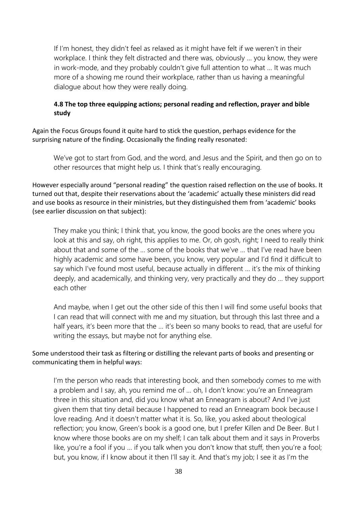If I'm honest, they didn't feel as relaxed as it might have felt if we weren't in their workplace. I think they felt distracted and there was, obviously … you know, they were in work-mode, and they probably couldn't give full attention to what … It was much more of a showing me round their workplace, rather than us having a meaningful dialogue about how they were really doing.

# **4.8 The top three equipping actions; personal reading and reflection, prayer and bible study**

Again the Focus Groups found it quite hard to stick the question, perhaps evidence for the surprising nature of the finding. Occasionally the finding really resonated:

We've got to start from God, and the word, and Jesus and the Spirit, and then go on to other resources that might help us. I think that's really encouraging.

However especially around "personal reading" the question raised reflection on the use of books. It turned out that, despite their reservations about the 'academic' actually these ministers did read and use books as resource in their ministries, but they distinguished them from 'academic' books (see earlier discussion on that subject):

They make you think; I think that, you know, the good books are the ones where you look at this and say, oh right, this applies to me. Or, oh gosh, right; I need to really think about that and some of the … some of the books that we've … that I've read have been highly academic and some have been, you know, very popular and I'd find it difficult to say which I've found most useful, because actually in different … it's the mix of thinking deeply, and academically, and thinking very, very practically and they do … they support each other

And maybe, when I get out the other side of this then I will find some useful books that I can read that will connect with me and my situation, but through this last three and a half years, it's been more that the … it's been so many books to read, that are useful for writing the essays, but maybe not for anything else.

# Some understood their task as filtering or distilling the relevant parts of books and presenting or communicating them in helpful ways:

I'm the person who reads that interesting book, and then somebody comes to me with a problem and I say, ah, you remind me of … oh, I don't know: you're an Enneagram three in this situation and, did you know what an Enneagram is about? And I've just given them that tiny detail because I happened to read an Enneagram book because I love reading. And it doesn't matter what it is. So, like, you asked about theological reflection; you know, Green's book is a good one, but I prefer Killen and De Beer. But I know where those books are on my shelf; I can talk about them and it says in Proverbs like, you're a fool if you … if you talk when you don't know that stuff, then you're a fool; but, you know, if I know about it then I'll say it. And that's my job; I see it as I'm the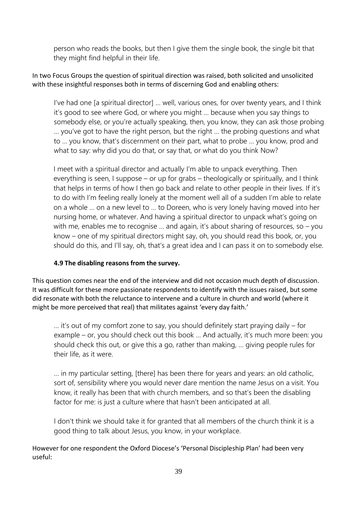person who reads the books, but then I give them the single book, the single bit that they might find helpful in their life.

# In two Focus Groups the question of spiritual direction was raised, both solicited and unsolicited with these insightful responses both in terms of discerning God and enabling others:

I've had one [a spiritual director] … well, various ones, for over twenty years, and I think it's good to see where God, or where you might … because when you say things to somebody else, or you're actually speaking, then, you know, they can ask those probing … you've got to have the right person, but the right … the probing questions and what to … you know, that's discernment on their part, what to probe … you know, prod and what to say: why did you do that, or say that, or what do you think Now?

I meet with a spiritual director and actually I'm able to unpack everything. Then everything is seen, I suppose – or up for grabs – theologically or spiritually, and I think that helps in terms of how I then go back and relate to other people in their lives. If it's to do with I'm feeling really lonely at the moment well all of a sudden I'm able to relate on a whole … on a new level to … to Doreen, who is very lonely having moved into her nursing home, or whatever. And having a spiritual director to unpack what's going on with me, enables me to recognise ... and again, it's about sharing of resources, so – you know – one of my spiritual directors might say, oh, you should read this book, or, you should do this, and I'll say, oh, that's a great idea and I can pass it on to somebody else.

# **4.9 The disabling reasons from the survey.**

This question comes near the end of the interview and did not occasion much depth of discussion. It was difficult for these more passionate respondents to identify with the issues raised, but some did resonate with both the reluctance to intervene and a culture in church and world (where it might be more perceived that real) that militates against 'every day faith.'

… it's out of my comfort zone to say, you should definitely start praying daily – for example – or, you should check out this book … And actually, it's much more been: you should check this out, or give this a go, rather than making, … giving people rules for their life, as it were.

… in my particular setting, [there] has been there for years and years: an old catholic, sort of, sensibility where you would never dare mention the name Jesus on a visit. You know, it really has been that with church members, and so that's been the disabling factor for me: is just a culture where that hasn't been anticipated at all.

I don't think we should take it for granted that all members of the church think it is a good thing to talk about Jesus, you know, in your workplace.

However for one respondent the Oxford Diocese's 'Personal Discipleship Plan' had been very useful: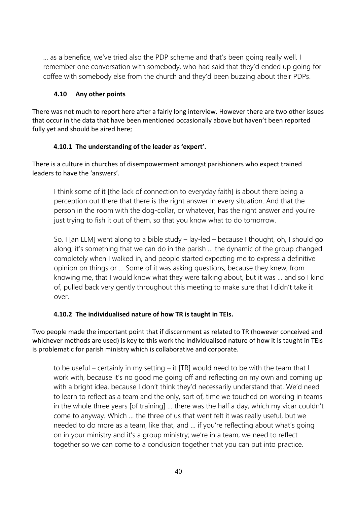… as a benefice, we've tried also the PDP scheme and that's been going really well. I remember one conversation with somebody, who had said that they'd ended up going for coffee with somebody else from the church and they'd been buzzing about their PDPs.

# **4.10 Any other points**

There was not much to report here after a fairly long interview. However there are two other issues that occur in the data that have been mentioned occasionally above but haven't been reported fully yet and should be aired here;

# **4.10.1 The understanding of the leader as 'expert'.**

There is a culture in churches of disempowerment amongst parishioners who expect trained leaders to have the 'answers'.

I think some of it [the lack of connection to everyday faith] is about there being a perception out there that there is the right answer in every situation. And that the person in the room with the dog-collar, or whatever, has the right answer and you're just trying to fish it out of them, so that you know what to do tomorrow.

So, I [an LLM] went along to a bible study – lay-led – because I thought, oh, I should go along; it's something that we can do in the parish … the dynamic of the group changed completely when I walked in, and people started expecting me to express a definitive opinion on things or … Some of it was asking questions, because they knew, from knowing me, that I would know what they were talking about, but it was … and so I kind of, pulled back very gently throughout this meeting to make sure that I didn't take it over.

# **4.10.2 The individualised nature of how TR is taught in TEIs.**

Two people made the important point that if discernment as related to TR (however conceived and whichever methods are used) is key to this work the individualised nature of how it is taught in TEIs is problematic for parish ministry which is collaborative and corporate.

to be useful – certainly in my setting – it [TR] would need to be with the team that I work with, because it's no good me going off and reflecting on my own and coming up with a bright idea, because I don't think they'd necessarily understand that. We'd need to learn to reflect as a team and the only, sort of, time we touched on working in teams in the whole three years [of training] … there was the half a day, which my vicar couldn't come to anyway. Which … the three of us that went felt it was really useful, but we needed to do more as a team, like that, and … if you're reflecting about what's going on in your ministry and it's a group ministry; we're in a team, we need to reflect together so we can come to a conclusion together that you can put into practice.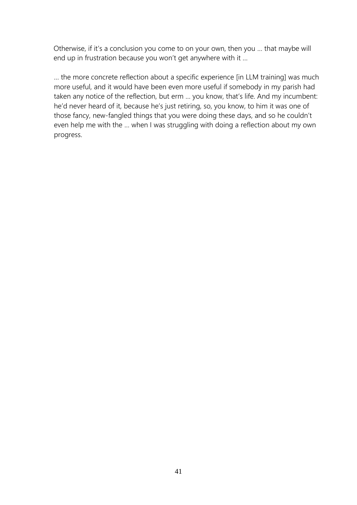Otherwise, if it's a conclusion you come to on your own, then you … that maybe will end up in frustration because you won't get anywhere with it …

… the more concrete reflection about a specific experience [in LLM training] was much more useful, and it would have been even more useful if somebody in my parish had taken any notice of the reflection, but erm … you know, that's life. And my incumbent: he'd never heard of it, because he's just retiring, so, you know, to him it was one of those fancy, new-fangled things that you were doing these days, and so he couldn't even help me with the … when I was struggling with doing a reflection about my own progress.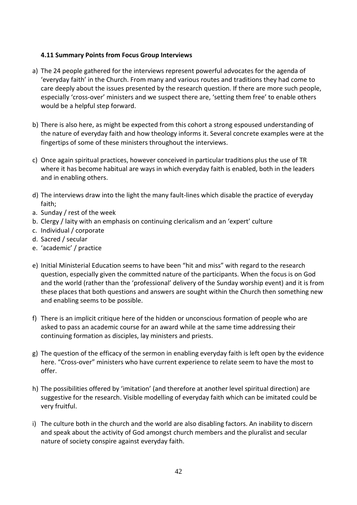#### **4.11 Summary Points from Focus Group Interviews**

- a) The 24 people gathered for the interviews represent powerful advocates for the agenda of 'everyday faith' in the Church. From many and various routes and traditions they had come to care deeply about the issues presented by the research question. If there are more such people, especially 'cross-over' ministers and we suspect there are, 'setting them free' to enable others would be a helpful step forward.
- b) There is also here, as might be expected from this cohort a strong espoused understanding of the nature of everyday faith and how theology informs it. Several concrete examples were at the fingertips of some of these ministers throughout the interviews.
- c) Once again spiritual practices, however conceived in particular traditions plus the use of TR where it has become habitual are ways in which everyday faith is enabled, both in the leaders and in enabling others.
- d) The interviews draw into the light the many fault-lines which disable the practice of everyday faith;
- a. Sunday / rest of the week
- b. Clergy / laity with an emphasis on continuing clericalism and an 'expert' culture
- c. Individual / corporate
- d. Sacred / secular
- e. 'academic' / practice
- e) Initial Ministerial Education seems to have been "hit and miss" with regard to the research question, especially given the committed nature of the participants. When the focus is on God and the world (rather than the 'professional' delivery of the Sunday worship event) and it is from these places that both questions and answers are sought within the Church then something new and enabling seems to be possible.
- f) There is an implicit critique here of the hidden or unconscious formation of people who are asked to pass an academic course for an award while at the same time addressing their continuing formation as disciples, lay ministers and priests.
- g) The question of the efficacy of the sermon in enabling everyday faith is left open by the evidence here. "Cross-over" ministers who have current experience to relate seem to have the most to offer.
- h) The possibilities offered by 'imitation' (and therefore at another level spiritual direction) are suggestive for the research. Visible modelling of everyday faith which can be imitated could be very fruitful.
- i) The culture both in the church and the world are also disabling factors. An inability to discern and speak about the activity of God amongst church members and the pluralist and secular nature of society conspire against everyday faith.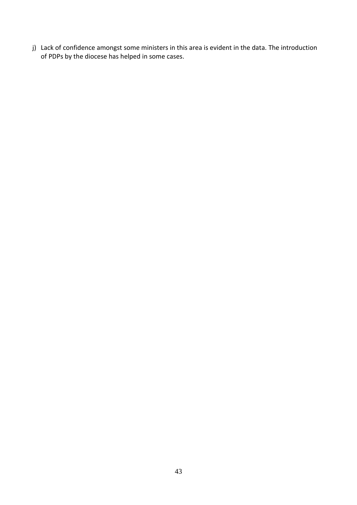j) Lack of confidence amongst some ministers in this area is evident in the data. The introduction of PDPs by the diocese has helped in some cases.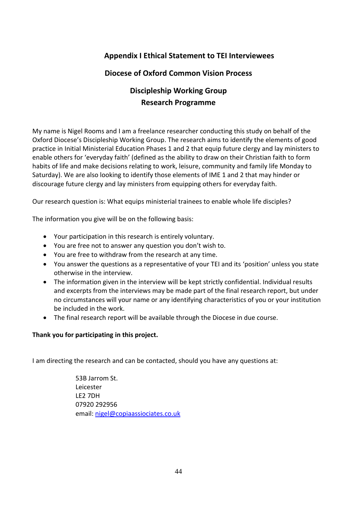# **Appendix I Ethical Statement to TEI Interviewees**

# **Diocese of Oxford Common Vision Process**

# **Discipleship Working Group Research Programme**

My name is Nigel Rooms and I am a freelance researcher conducting this study on behalf of the Oxford Diocese's Discipleship Working Group. The research aims to identify the elements of good practice in Initial Ministerial Education Phases 1 and 2 that equip future clergy and lay ministers to enable others for 'everyday faith' (defined as the ability to draw on their Christian faith to form habits of life and make decisions relating to work, leisure, community and family life Monday to Saturday). We are also looking to identify those elements of IME 1 and 2 that may hinder or discourage future clergy and lay ministers from equipping others for everyday faith.

Our research question is: What equips ministerial trainees to enable whole life disciples?

The information you give will be on the following basis:

- Your participation in this research is entirely voluntary.
- You are free not to answer any question you don't wish to.
- You are free to withdraw from the research at any time.
- You answer the questions as a representative of your TEI and its 'position' unless you state otherwise in the interview.
- The information given in the interview will be kept strictly confidential. Individual results and excerpts from the interviews may be made part of the final research report, but under no circumstances will your name or any identifying characteristics of you or your institution be included in the work.
- The final research report will be available through the Diocese in due course.

#### **Thank you for participating in this project.**

I am directing the research and can be contacted, should you have any questions at:

53B Jarrom St. Leicester LE2 7DH 07920 292956 email[: nigel@copiaassiociates.co.uk](mailto:nigel@copiaassiociates.co.uk)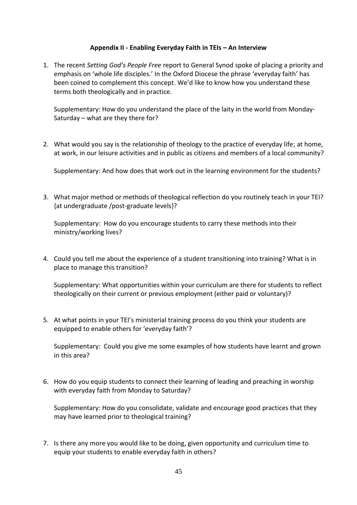#### **Appendix II - Enabling Everyday Faith in TEIs – An Interview**

1. The recent *Setting God's People Free* report to General Synod spoke of placing a priority and emphasis on 'whole life disciples.' In the Oxford Diocese the phrase 'everyday faith' has been coined to complement this concept. We'd like to know how you understand these terms both theologically and in practice.

Supplementary: How do you understand the place of the laity in the world from Monday-Saturday – what are they there for?

2. What would you say is the relationship of theology to the practice of everyday life; at home, at work, in our leisure activities and in public as citizens and members of a local community?

Supplementary: And how does that work out in the learning environment for the students?

3. What major method or methods of theological reflection do you routinely teach in your TEI? {at undergraduate /post-graduate levels}?

Supplementary: How do you encourage students to carry these methods into their ministry/working lives?

4. Could you tell me about the experience of a student transitioning into training? What is in place to manage this transition?

Supplementary: What opportunities within your curriculum are there for students to reflect theologically on their current or previous employment (either paid or voluntary)?

5. At what points in your TEI's ministerial training process do you think your students are equipped to enable others for 'everyday faith'?

Supplementary: Could you give me some examples of how students have learnt and grown in this area?

6. How do you equip students to connect their learning of leading and preaching in worship with everyday faith from Monday to Saturday?

Supplementary: How do you consolidate, validate and encourage good practices that they may have learned prior to theological training?

7. Is there any more you would like to be doing, given opportunity and curriculum time to equip your students to enable everyday faith in others?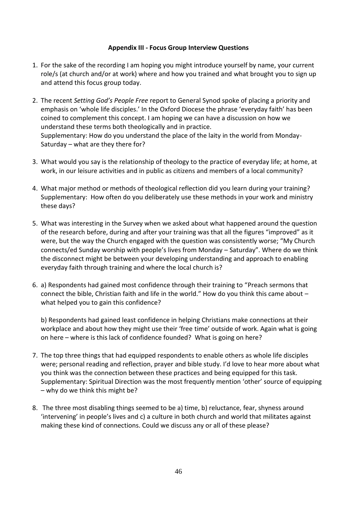#### **Appendix III - Focus Group Interview Questions**

- 1. For the sake of the recording I am hoping you might introduce yourself by name, your current role/s (at church and/or at work) where and how you trained and what brought you to sign up and attend this focus group today.
- 2. The recent *Setting God's People Free* report to General Synod spoke of placing a priority and emphasis on 'whole life disciples.' In the Oxford Diocese the phrase 'everyday faith' has been coined to complement this concept. I am hoping we can have a discussion on how we understand these terms both theologically and in practice. Supplementary: How do you understand the place of the laity in the world from Monday-Saturday – what are they there for?
- 3. What would you say is the relationship of theology to the practice of everyday life; at home, at work, in our leisure activities and in public as citizens and members of a local community?
- 4. What major method or methods of theological reflection did you learn during your training? Supplementary: How often do you deliberately use these methods in your work and ministry these days?
- 5. What was interesting in the Survey when we asked about what happened around the question of the research before, during and after your training was that all the figures "improved" as it were, but the way the Church engaged with the question was consistently worse; "My Church connects/ed Sunday worship with people's lives from Monday – Saturday". Where do we think the disconnect might be between your developing understanding and approach to enabling everyday faith through training and where the local church is?
- 6. a) Respondents had gained most confidence through their training to "Preach sermons that connect the bible, Christian faith and life in the world." How do you think this came about – what helped you to gain this confidence?

b) Respondents had gained least confidence in helping Christians make connections at their workplace and about how they might use their 'free time' outside of work. Again what is going on here – where is this lack of confidence founded? What is going on here?

- 7. The top three things that had equipped respondents to enable others as whole life disciples were; personal reading and reflection, prayer and bible study. I'd love to hear more about what you think was the connection between these practices and being equipped for this task. Supplementary: Spiritual Direction was the most frequently mention 'other' source of equipping – why do we think this might be?
- 8. The three most disabling things seemed to be a) time, b) reluctance, fear, shyness around 'intervening' in people's lives and c) a culture in both church and world that militates against making these kind of connections. Could we discuss any or all of these please?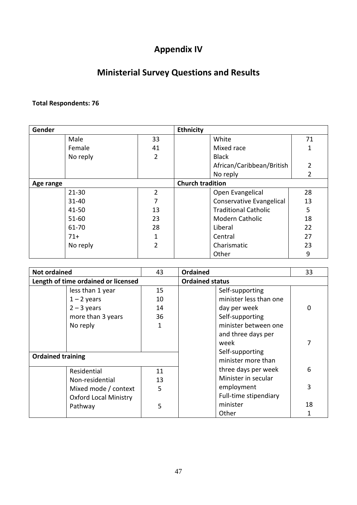# **Appendix IV**

# **Ministerial Survey Questions and Results**

# **Total Respondents: 76**

| Gender    |           |                | <b>Ethnicity</b>            |                |
|-----------|-----------|----------------|-----------------------------|----------------|
|           | Male      | 33             | White                       | 71             |
|           | Female    | 41             | Mixed race                  | 1              |
|           | No reply  | $\overline{2}$ | <b>Black</b>                |                |
|           |           |                | African/Caribbean/British   | $\overline{2}$ |
|           |           |                | No reply                    | 2              |
| Age range |           |                | <b>Church tradition</b>     |                |
|           | $21 - 30$ | $\overline{2}$ | Open Evangelical            | 28             |
|           | $31 - 40$ | 7              | Conservative Evangelical    | 13             |
|           | 41-50     | 13             | <b>Traditional Catholic</b> | 5              |
|           | $51 - 60$ | 23             | <b>Modern Catholic</b>      | 18             |
|           | 61-70     | 28             | Liberal                     | 22             |
|           | $71+$     | 1              | Central                     | 27             |
|           | No reply  | $\overline{2}$ | Charismatic                 | 23             |
|           |           |                | Other                       | 9              |

| <b>Not ordained</b>                 | 43 | <b>Ordained</b>        | 33       |
|-------------------------------------|----|------------------------|----------|
| Length of time ordained or licensed |    | <b>Ordained status</b> |          |
| less than 1 year                    | 15 | Self-supporting        |          |
| $1 - 2$ years                       | 10 | minister less than one |          |
| $2 - 3$ years                       | 14 | day per week           | $\Omega$ |
| more than 3 years                   | 36 | Self-supporting        |          |
| No reply                            | 1  | minister between one   |          |
|                                     |    | and three days per     |          |
|                                     |    | week                   | 7        |
| <b>Ordained training</b>            |    | Self-supporting        |          |
|                                     |    | minister more than     |          |
| Residential                         | 11 | three days per week    | 6        |
| Non-residential                     | 13 | Minister in secular    |          |
| Mixed mode / context                | 5  | employment             | 3        |
| <b>Oxford Local Ministry</b>        |    | Full-time stipendiary  |          |
| Pathway                             | 5  | minister               | 18       |
|                                     |    | Other                  |          |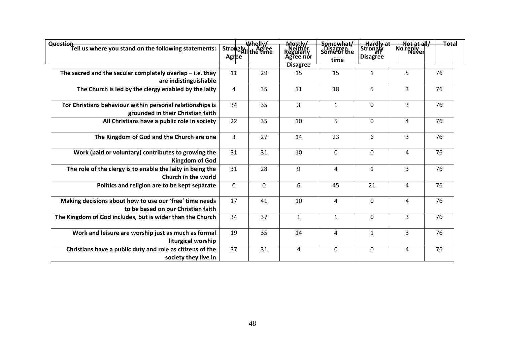| Question<br>Tell us where you stand on the following statements:                               | Agree          | Wholly/<br>Strongly <sub>III</sub> Agree | Mostly/<br>Neither<br>Regularly<br>Agree nor<br><b>Disagree</b> | Somewhat/<br>Some of the<br>time | <del>– Hardly at</del><br> Strongly<br><b>Disagree</b> | <b>Not at all/</b><br>No reply<br>Never | <del>Tota</del> l |  |
|------------------------------------------------------------------------------------------------|----------------|------------------------------------------|-----------------------------------------------------------------|----------------------------------|--------------------------------------------------------|-----------------------------------------|-------------------|--|
| The sacred and the secular completely overlap $-$ i.e. they<br>are indistinguishable           | 11             | 29                                       | 15                                                              | 15                               | 1                                                      | 5                                       | 76                |  |
| The Church is led by the clergy enabled by the laity                                           | $\overline{4}$ | 35                                       | 11                                                              | 18                               | 5                                                      | 3                                       | 76                |  |
| For Christians behaviour within personal relationships is<br>grounded in their Christian faith | 34             | 35                                       | 3                                                               | $\mathbf{1}$                     | 0                                                      | 3                                       | 76                |  |
| All Christians have a public role in society                                                   | 22             | 35                                       | 10                                                              | 5                                | 0                                                      | 4                                       | 76                |  |
| The Kingdom of God and the Church are one                                                      | 3              | 27                                       | 14                                                              | 23                               | 6                                                      | 3                                       | 76                |  |
| Work (paid or voluntary) contributes to growing the<br><b>Kingdom of God</b>                   | 31             | 31                                       | 10                                                              | $\mathbf 0$                      | 0                                                      | 4                                       | 76                |  |
| The role of the clergy is to enable the laity in being the<br>Church in the world              | 31             | 28                                       | 9                                                               | 4                                | 1                                                      | 3                                       | 76                |  |
| Politics and religion are to be kept separate                                                  | $\mathbf{0}$   | $\mathbf 0$                              | 6                                                               | 45                               | 21                                                     | 4                                       | 76                |  |
| Making decisions about how to use our 'free' time needs<br>to be based on our Christian faith  | 17             | 41                                       | 10                                                              | 4                                | 0                                                      | 4                                       | 76                |  |
| The Kingdom of God includes, but is wider than the Church                                      | 34             | 37                                       | $\mathbf{1}$                                                    | $\mathbf{1}$                     | 0                                                      | 3                                       | 76                |  |
| Work and leisure are worship just as much as formal<br>liturgical worship                      | 19             | 35                                       | 14                                                              | 4                                | $\mathbf{1}$                                           | 3                                       | 76                |  |
| Christians have a public duty and role as citizens of the<br>society they live in              | 37             | 31                                       | 4                                                               | 0                                | 0                                                      | 4                                       | 76                |  |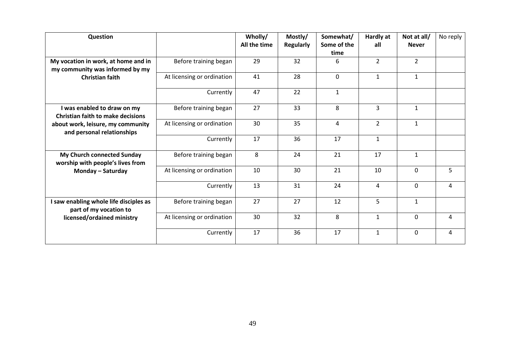| Question                                                                |                            | Wholly/<br>All the time | Mostly/<br><b>Regularly</b> | Somewhat/<br>Some of the<br>time | <b>Hardly at</b><br>all | Not at all/<br><b>Never</b> | No reply |
|-------------------------------------------------------------------------|----------------------------|-------------------------|-----------------------------|----------------------------------|-------------------------|-----------------------------|----------|
| My vocation in work, at home and in<br>my community was informed by my  | Before training began      | 29                      | 32                          | 6                                | $\overline{2}$          | $\overline{2}$              |          |
| <b>Christian faith</b>                                                  | At licensing or ordination | 41                      | 28                          | $\mathbf 0$                      | $\mathbf{1}$            | $\mathbf{1}$                |          |
|                                                                         | Currently                  | 47                      | 22                          | $\mathbf{1}$                     |                         |                             |          |
| I was enabled to draw on my<br><b>Christian faith to make decisions</b> | Before training began      | 27                      | 33                          | 8                                | 3                       | $\mathbf{1}$                |          |
| about work, leisure, my community<br>and personal relationships         | At licensing or ordination | 30                      | 35                          | 4                                | $\overline{2}$          | $\mathbf{1}$                |          |
|                                                                         | Currently                  | 17                      | 36                          | 17                               | $\mathbf{1}$            |                             |          |
| My Church connected Sunday<br>worship with people's lives from          | Before training began      | 8                       | 24                          | 21                               | 17                      | $\mathbf{1}$                |          |
| Monday - Saturday                                                       | At licensing or ordination | 10                      | 30                          | 21                               | 10                      | $\Omega$                    | 5        |
|                                                                         | Currently                  | 13                      | 31                          | 24                               | $\overline{4}$          | $\mathbf 0$                 | 4        |
| I saw enabling whole life disciples as<br>part of my vocation to        | Before training began      | 27                      | 27                          | 12                               | 5                       | $\mathbf{1}$                |          |
| licensed/ordained ministry                                              | At licensing or ordination | 30                      | 32                          | 8                                | $\mathbf{1}$            | 0                           | 4        |
|                                                                         | Currently                  | 17                      | 36                          | 17                               | $\mathbf{1}$            | $\mathbf{0}$                | 4        |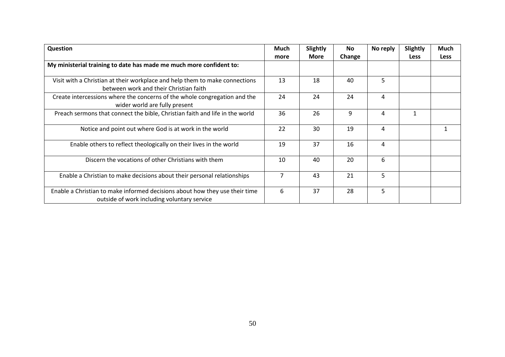| <b>Question</b>                                                                                                            | Much<br>more   | <b>Slightly</b><br>More | No.<br>Change | No reply | Slightly<br><b>Less</b> | Much<br><b>Less</b> |
|----------------------------------------------------------------------------------------------------------------------------|----------------|-------------------------|---------------|----------|-------------------------|---------------------|
| My ministerial training to date has made me much more confident to:                                                        |                |                         |               |          |                         |                     |
| Visit with a Christian at their workplace and help them to make connections<br>between work and their Christian faith      | 13             | 18                      | 40            | 5        |                         |                     |
| Create intercessions where the concerns of the whole congregation and the<br>wider world are fully present                 | 24             | 24                      | 24            | 4        |                         |                     |
| Preach sermons that connect the bible, Christian faith and life in the world                                               | 36             | 26                      | 9             | 4        | 1                       |                     |
| Notice and point out where God is at work in the world                                                                     | 22             | 30                      | 19            | 4        |                         |                     |
| Enable others to reflect theologically on their lives in the world                                                         | 19             | 37                      | 16            | 4        |                         |                     |
| Discern the vocations of other Christians with them                                                                        | 10             | 40                      | 20            | 6        |                         |                     |
| Enable a Christian to make decisions about their personal relationships                                                    | $\overline{7}$ | 43                      | 21            | 5        |                         |                     |
| Enable a Christian to make informed decisions about how they use their time<br>outside of work including voluntary service | 6              | 37                      | 28            | 5        |                         |                     |